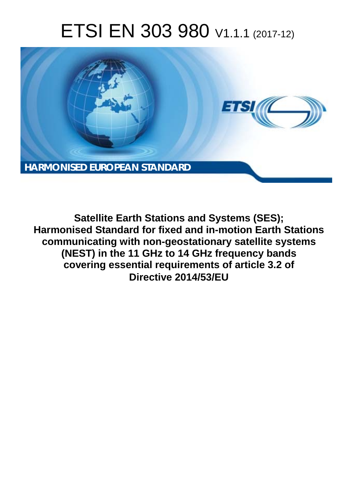# ETSI EN 303 980 V1.1.1 (2017-12)



**Satellite Earth Stations and Systems (SES); Harmonised Standard for fixed and in-motion Earth Stations communicating with non-geostationary satellite systems (NEST) in the 11 GHz to 14 GHz frequency bands covering essential requirements of article 3.2 of Directive 2014/53/EU**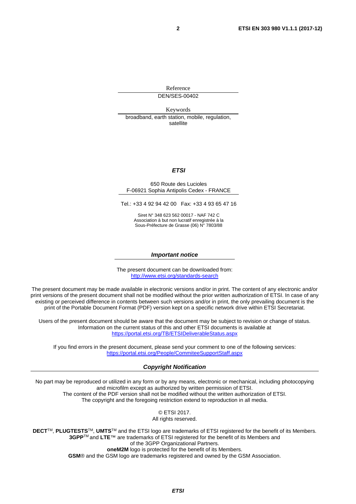Reference DEN/SES-00402

Keywords broadband, earth station, mobile, regulation, satellite

#### *ETSI*

#### 650 Route des Lucioles F-06921 Sophia Antipolis Cedex - FRANCE

Tel.: +33 4 92 94 42 00 Fax: +33 4 93 65 47 16

Siret N° 348 623 562 00017 - NAF 742 C Association à but non lucratif enregistrée à la Sous-Préfecture de Grasse (06) N° 7803/88

#### *Important notice*

The present document can be downloaded from: <http://www.etsi.org/standards-search>

The present document may be made available in electronic versions and/or in print. The content of any electronic and/or print versions of the present document shall not be modified without the prior written authorization of ETSI. In case of any existing or perceived difference in contents between such versions and/or in print, the only prevailing document is the print of the Portable Document Format (PDF) version kept on a specific network drive within ETSI Secretariat.

Users of the present document should be aware that the document may be subject to revision or change of status. Information on the current status of this and other ETSI documents is available at <https://portal.etsi.org/TB/ETSIDeliverableStatus.aspx>

If you find errors in the present document, please send your comment to one of the following services: <https://portal.etsi.org/People/CommiteeSupportStaff.aspx>

#### *Copyright Notification*

No part may be reproduced or utilized in any form or by any means, electronic or mechanical, including photocopying and microfilm except as authorized by written permission of ETSI. The content of the PDF version shall not be modified without the written authorization of ETSI. The copyright and the foregoing restriction extend to reproduction in all media.

> © ETSI 2017. All rights reserved.

**DECT**TM, **PLUGTESTS**TM, **UMTS**TM and the ETSI logo are trademarks of ETSI registered for the benefit of its Members. **3GPP**TM and **LTE**™ are trademarks of ETSI registered for the benefit of its Members and of the 3GPP Organizational Partners. **oneM2M** logo is protected for the benefit of its Members.

**GSM**® and the GSM logo are trademarks registered and owned by the GSM Association.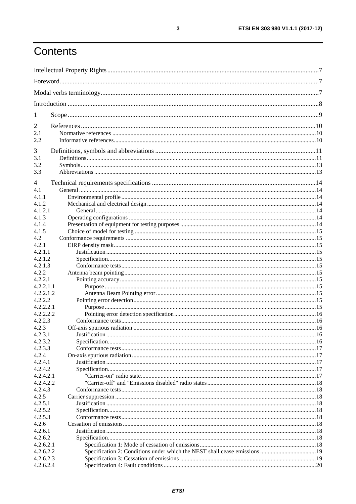# Contents

| $\mathbf{I}$           |  |  |
|------------------------|--|--|
| 2                      |  |  |
| 2.1                    |  |  |
| 2.2                    |  |  |
| 3                      |  |  |
| 3.1                    |  |  |
| 3.2                    |  |  |
| 3.3                    |  |  |
|                        |  |  |
| 4                      |  |  |
| 4.1                    |  |  |
| 4.1.1                  |  |  |
| 4.1.2                  |  |  |
| 4.1.2.1                |  |  |
| 4.1.3                  |  |  |
| 4.1.4                  |  |  |
| 4.1.5                  |  |  |
| 4.2                    |  |  |
| 4.2.1                  |  |  |
| 4.2.1.1                |  |  |
| 4.2.1.2                |  |  |
| 4.2.1.3                |  |  |
| 4.2.2                  |  |  |
| 4.2.2.1                |  |  |
| 4.2.2.1.1              |  |  |
| 4.2.2.1.2              |  |  |
| 4.2.2.2                |  |  |
| 4.2.2.2.1              |  |  |
| 4.2.2.2.2              |  |  |
| 4.2.2.3                |  |  |
| 4.2.3                  |  |  |
| 4.2.3.1                |  |  |
| 4.2.3.2                |  |  |
| 4.2.3.3                |  |  |
| 4.2.4                  |  |  |
| 4.2.4.1                |  |  |
| 4.2.4.2                |  |  |
| 4.2.4.2.1              |  |  |
| 4.2.4.2.2              |  |  |
| 4.2.4.3                |  |  |
| 4.2.5                  |  |  |
| 4.2.5.1<br>4.2.5.2     |  |  |
|                        |  |  |
| 4.2.5.3                |  |  |
| 4.2.6                  |  |  |
| 4.2.6.1                |  |  |
| 4.2.6.2                |  |  |
| 4.2.6.2.1<br>4.2.6.2.2 |  |  |
| 4.2.6.2.3              |  |  |
|                        |  |  |
| 4.2.6.2.4              |  |  |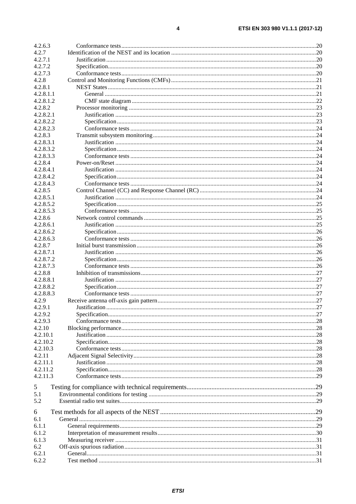| 4.2.6.3   |  |
|-----------|--|
| 4.2.7     |  |
| 4.2.7.1   |  |
| 4.2.7.2   |  |
| 4.2.7.3   |  |
| 4.2.8     |  |
| 4.2.8.1   |  |
| 4.2.8.1.1 |  |
| 4.2.8.1.2 |  |
| 4.2.8.2   |  |
| 4.2.8.2.1 |  |
| 4.2.8.2.2 |  |
| 4.2.8.2.3 |  |
| 4.2.8.3   |  |
| 4.2.8.3.1 |  |
| 4.2.8.3.2 |  |
| 4.2.8.3.3 |  |
| 4.2.8.4   |  |
| 4.2.8.4.1 |  |
| 4.2.8.4.2 |  |
| 4.2.8.4.3 |  |
| 4.2.8.5   |  |
| 4.2.8.5.1 |  |
| 4.2.8.5.2 |  |
| 4.2.8.5.3 |  |
| 4.2.8.6   |  |
| 4.2.8.6.1 |  |
| 4.2.8.6.2 |  |
| 4.2.8.6.3 |  |
| 4.2.8.7   |  |
| 4.2.8.7.1 |  |
| 4.2.8.7.2 |  |
| 4.2.8.7.3 |  |
| 4.2.8.8   |  |
| 4.2.8.8.1 |  |
| 4.2.8.8.2 |  |
| 4.2.8.8.3 |  |
| 4.2.9     |  |
| 4.2.9.1   |  |
| 4.2.9.2   |  |
| 4.2.9.3   |  |
| 4.2.10    |  |
| 4.2.10.1  |  |
| 4.2.10.2  |  |
| 4.2.10.3  |  |
| 4.2.11    |  |
| 4.2.11.1  |  |
| 4.2.11.2  |  |
| 4.2.11.3  |  |
|           |  |
| 5<br>5.1  |  |
| 5.2       |  |
|           |  |
| 6         |  |
| 6.1       |  |
| 6.1.1     |  |
| 6.1.2     |  |
| 6.1.3     |  |
| 6.2       |  |
| 6.2.1     |  |
| 6.2.2     |  |
|           |  |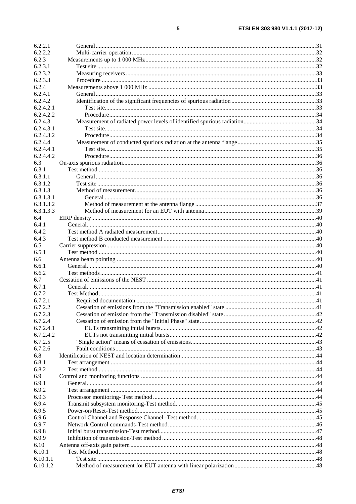| 6.2.2.1              |  |
|----------------------|--|
| 6.2.2.2              |  |
| 6.2.3                |  |
| 6.2.3.1              |  |
| 6.2.3.2              |  |
| 6.2.3.3              |  |
| 6.2.4                |  |
| 6.2.4.1              |  |
| 6.2.4.2              |  |
| 6.2.4.2.1            |  |
| 6.2.4.2.2            |  |
| 6.2.4.3              |  |
| 6.2.4.3.1            |  |
| 6.2.4.3.2            |  |
| 6.2.4.4              |  |
| 6.2.4.4.1            |  |
| 6.2.4.4.2            |  |
| 6.3                  |  |
| 6.3.1                |  |
| 6.3.1.1              |  |
| 6.3.1.2              |  |
| 6.3.1.3              |  |
| 6.3.1.3.1            |  |
| 6.3.1.3.2            |  |
| 6.3.1.3.3            |  |
| 6.4                  |  |
| 6.4.1                |  |
| 6.4.2                |  |
| 6.4.3                |  |
| 6.5                  |  |
| 6.5.1                |  |
| 6.6                  |  |
| 6.6.1<br>6.6.2       |  |
| 6.7                  |  |
| 6.7.1                |  |
| 6.7.2                |  |
| 6.7.2.1              |  |
| 6.7.2.2              |  |
| 6.7.2.3              |  |
| 6.7.2.4              |  |
| 6.7.2.4.1            |  |
| 6.7.2.4.2            |  |
| 6.7.2.5              |  |
| 6.7.2.6              |  |
| 6.8                  |  |
| 6.8.1                |  |
| 6.8.2                |  |
| 6.9                  |  |
| 6.9.1                |  |
| 6.9.2                |  |
| 6.9.3                |  |
| 6.9.4                |  |
| 6.9.5                |  |
| 6.9.6                |  |
| 6.9.7                |  |
| 6.9.8                |  |
| 6.9.9                |  |
| 6.10                 |  |
|                      |  |
| 6.10.1               |  |
| 6.10.1.1<br>6.10.1.2 |  |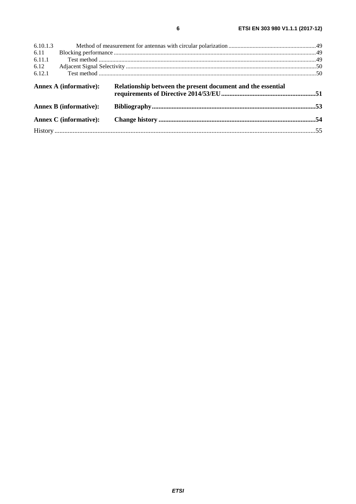| 6.10.1.3 |                               |                                                             |  |
|----------|-------------------------------|-------------------------------------------------------------|--|
| 6.11     |                               |                                                             |  |
| 6.11.1   |                               |                                                             |  |
| 6.12     |                               |                                                             |  |
| 6.12.1   |                               |                                                             |  |
|          | <b>Annex A (informative):</b> | Relationship between the present document and the essential |  |
|          | <b>Annex B (informative):</b> |                                                             |  |
|          | <b>Annex C</b> (informative): |                                                             |  |
|          |                               |                                                             |  |
|          |                               |                                                             |  |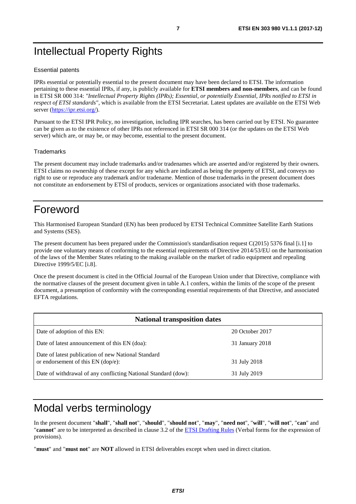# <span id="page-6-0"></span>Intellectual Property Rights

#### Essential patents

IPRs essential or potentially essential to the present document may have been declared to ETSI. The information pertaining to these essential IPRs, if any, is publicly available for **ETSI members and non-members**, and can be found in ETSI SR 000 314: *"Intellectual Property Rights (IPRs); Essential, or potentially Essential, IPRs notified to ETSI in respect of ETSI standards"*, which is available from the ETSI Secretariat. Latest updates are available on the ETSI Web server (<https://ipr.etsi.org/>).

Pursuant to the ETSI IPR Policy, no investigation, including IPR searches, has been carried out by ETSI. No guarantee can be given as to the existence of other IPRs not referenced in ETSI SR 000 314 (or the updates on the ETSI Web server) which are, or may be, or may become, essential to the present document.

#### **Trademarks**

The present document may include trademarks and/or tradenames which are asserted and/or registered by their owners. ETSI claims no ownership of these except for any which are indicated as being the property of ETSI, and conveys no right to use or reproduce any trademark and/or tradename. Mention of those trademarks in the present document does not constitute an endorsement by ETSI of products, services or organizations associated with those trademarks.

# Foreword

This Harmonised European Standard (EN) has been produced by ETSI Technical Committee Satellite Earth Stations and Systems (SES).

The present document has been prepared under the Commission's standardisation request C(2015) 5376 final [\[i.1\]](#page-9-0) to provide one voluntary means of conforming to the essential requirements of Directive 2014/53/EU on the harmonisation of the laws of the Member States relating to the making available on the market of radio equipment and repealing Directive 1999/5/EC [\[i.8](#page-10-0)].

Once the present document is cited in the Official Journal of the European Union under that Directive, compliance with the normative clauses of the present document given in table A.1 confers, within the limits of the scope of the present document, a presumption of conformity with the corresponding essential requirements of that Directive, and associated EFTA regulations.

| <b>National transposition dates</b>                                                       |                 |  |  |
|-------------------------------------------------------------------------------------------|-----------------|--|--|
| Date of adoption of this EN:                                                              | 20 October 2017 |  |  |
| Date of latest announcement of this EN (doa):                                             | 31 January 2018 |  |  |
| Date of latest publication of new National Standard<br>or endorsement of this EN (dop/e): | 31 July 2018    |  |  |
| Date of withdrawal of any conflicting National Standard (dow):                            | 31 July 2019    |  |  |

# Modal verbs terminology

In the present document "**shall**", "**shall not**", "**should**", "**should not**", "**may**", "**need not**", "**will**", "**will not**", "**can**" and "**cannot**" are to be interpreted as described in clause 3.2 of the [ETSI Drafting Rules](https://portal.etsi.org/Services/editHelp!/Howtostart/ETSIDraftingRules.aspx) (Verbal forms for the expression of provisions).

"**must**" and "**must not**" are **NOT** allowed in ETSI deliverables except when used in direct citation.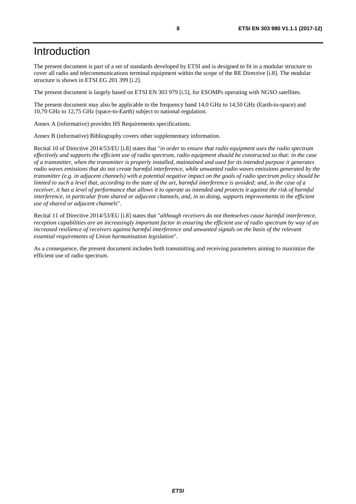# <span id="page-7-0"></span>Introduction

The present document is part of a set of standards developed by ETSI and is designed to fit in a modular structure to cover all radio and telecommunications terminal equipment within the scope of the RE Directive [\[i.8\]](#page-10-0). The modular structure is shown in ETSI EG 201 399 [[i.2](#page-9-0)].

The present document is largely based on ETSI EN 303 979 [[i.5](#page-9-0)], for ESOMPs operating with NGSO satellites.

The present document may also be applicable to the frequency band 14,0 GHz to 14,50 GHz (Earth-to-space) and 10,70 GHz to 12,75 GHz (space-to-Earth) subject to national regulation.

Annex A (informative) provides HS Requirements specifications.

Annex B (informative) Bibliography covers other supplementary information.

Recital 10 of Directive 2014/53/EU [\[i.8\]](#page-10-0) states that "*in order to ensure that radio equipment uses the radio spectrum effectively and supports the efficient use of radio spectrum, radio equipment should be constructed so that: in the case of a transmitter, when the transmitter is properly installed, maintained and used for its intended purpose it generates radio waves emissions that do not create harmful interference, while unwanted radio waves emissions generated by the transmitter (e.g. in adjacent channels) with a potential negative impact on the goals of radio spectrum policy should be limited to such a level that, according to the state of the art, harmful interference is avoided; and, in the case of a receiver, it has a level of performance that allows it to operate as intended and protects it against the risk of harmful interference, in particular from shared or adjacent channels, and, in so doing, supports improvements in the efficient use of shared or adjacent channels*".

Recital 11 of Directive 2014/53/EU [\[i.8\]](#page-10-0) states that "*although receivers do not themselves cause harmful interference, reception capabilities are an increasingly important factor in ensuring the efficient use of radio spectrum by way of an*  increased resilience of receivers against harmful interference and unwanted signals on the basis of the relevant *essential requirements of Union harmonisation legislation*".

As a consequence, the present document includes both transmitting and receiving parameters aiming to maximize the efficient use of radio spectrum.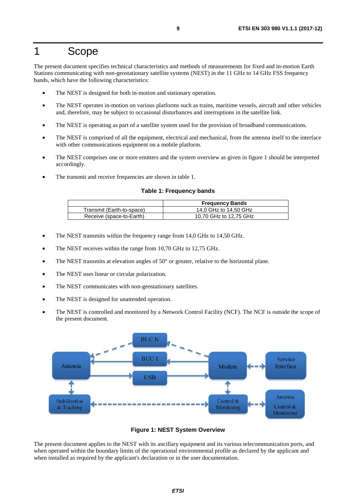# <span id="page-8-0"></span>1 Scope

The present document specifies technical characteristics and methods of measurements for fixed and in-motion Earth Stations communicating with non-geostationary satellite systems (NEST) in the 11 GHz to 14 GHz FSS frequency bands, which have the following characteristics:

- The NEST is designed for both in-motion and stationary operation.
- The NEST operates in-motion on various platforms such as trains, maritime vessels, aircraft and other vehicles and, therefore, may be subject to occasional disturbances and interruptions in the satellite link.
- The NEST is operating as part of a satellite system used for the provision of broadband communications.
- The NEST is comprised of all the equipment, electrical and mechanical, from the antenna itself to the interface with other communications equipment on a mobile platform.
- The NEST comprises one or more emitters and the system overview as given in figure 1 should be interpreted accordingly.
- The transmit and receive frequencies are shown in table 1.

#### **Table 1: Frequency bands**

|                           | <b>Frequency Bands</b> |
|---------------------------|------------------------|
| Transmit (Earth-to-space) | 14,0 GHz to 14,50 GHz  |
| Receive (space-to-Earth)  | 10,70 GHz to 12,75 GHz |

- The NEST transmits within the frequency range from 14,0 GHz to 14,50 GHz.
- The NEST receives within the range from 10,70 GHz to 12,75 GHz.
- The NEST transmits at elevation angles of  $50^{\circ}$  or greater, relative to the horizontal plane.
- The NEST uses linear or circular polarization.
- The NEST communicates with non-geostationary satellites.
- The NEST is designed for unattended operation.
- The NEST is controlled and monitored by a Network Control Facility (NCF). The NCF is outside the scope of the present document.



**Figure 1: NEST System Overview** 

The present document applies to the NEST with its ancillary equipment and its various telecommunication ports, and when operated within the boundary limits of the operational environmental profile as declared by the applicant and when installed as required by the applicant's declaration or in the user documentation.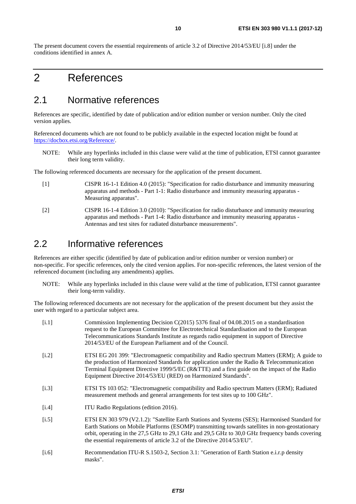<span id="page-9-0"></span>The present document covers the essential requirements of article 3.2 of Directive 2014/53/EU [[i.8\]](#page-10-0) under the conditions identified in annex A.

# 2 References

# 2.1 Normative references

References are specific, identified by date of publication and/or edition number or version number. Only the cited version applies.

Referenced documents which are not found to be publicly available in the expected location might be found at <https://docbox.etsi.org/Reference/>.

NOTE: While any hyperlinks included in this clause were valid at the time of publication, ETSI cannot guarantee their long term validity.

The following referenced documents are necessary for the application of the present document.

- [1] CISPR 16-1-1 Edition 4.0 (2015): "Specification for radio disturbance and immunity measuring apparatus and methods - Part 1-1: Radio disturbance and immunity measuring apparatus - Measuring apparatus".
- [2] CISPR 16-1-4 Edition 3.0 (2010): "Specification for radio disturbance and immunity measuring apparatus and methods - Part 1-4: Radio disturbance and immunity measuring apparatus - Antennas and test sites for radiated disturbance measurements".

# 2.2 Informative references

References are either specific (identified by date of publication and/or edition number or version number) or non-specific. For specific references, only the cited version applies. For non-specific references, the latest version of the referenced document (including any amendments) applies.

NOTE: While any hyperlinks included in this clause were valid at the time of publication, ETSI cannot guarantee their long-term validity.

The following referenced documents are not necessary for the application of the present document but they assist the user with regard to a particular subject area.

| Commission Implementing Decision C(2015) 5376 final of 04.08.2015 on a standardisation<br>request to the European Committee for Electrotechnical Standardisation and to the European<br>Telecommunications Standards Institute as regards radio equipment in support of Directive<br>2014/53/EU of the European Parliament and of the Council.                                 |
|--------------------------------------------------------------------------------------------------------------------------------------------------------------------------------------------------------------------------------------------------------------------------------------------------------------------------------------------------------------------------------|
| ETSI EG 201 399: "Electromagnetic compatibility and Radio spectrum Matters (ERM); A guide to<br>the production of Harmonized Standards for application under the Radio & Telecommunication<br>Terminal Equipment Directive 1999/5/EC (R&TTE) and a first guide on the impact of the Radio<br>Equipment Directive 2014/53/EU (RED) on Harmonized Standards".                    |
| ETSI TS 103 052: "Electromagnetic compatibility and Radio spectrum Matters (ERM); Radiated<br>measurement methods and general arrangements for test sites up to 100 GHz".                                                                                                                                                                                                      |
| ITU Radio Regulations (edition 2016).                                                                                                                                                                                                                                                                                                                                          |
| ETSI EN 303 979 (V2.1.2): "Satellite Earth Stations and Systems (SES); Harmonised Standard for<br>Earth Stations on Mobile Platforms (ESOMP) transmitting towards satellites in non-geostationary<br>orbit, operating in the 27,5 GHz to 29,1 GHz and 29,5 GHz to 30,0 GHz frequency bands covering<br>the essential requirements of article 3.2 of the Directive 2014/53/EU". |
|                                                                                                                                                                                                                                                                                                                                                                                |

[i.6] Recommendation ITU-R S.1503-2, Section 3.1: "Generation of Earth Station e.i.r.p density masks".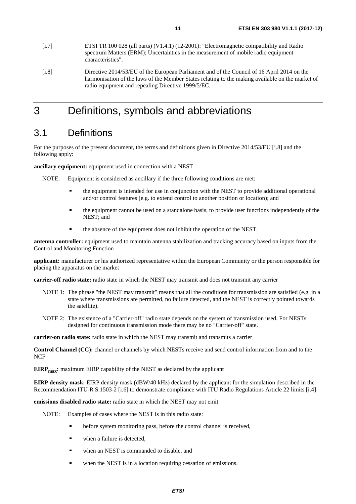- <span id="page-10-0"></span>[i.7] ETSI TR 100 028 (all parts) (V1.4.1) (12-2001): "Electromagnetic compatibility and Radio spectrum Matters (ERM); Uncertainties in the measurement of mobile radio equipment characteristics".
- [i.8] Directive 2014/53/EU of the European Parliament and of the Council of 16 April 2014 on the harmonisation of the laws of the Member States relating to the making available on the market of radio equipment and repealing Directive 1999/5/EC.

# 3 Definitions, symbols and abbreviations

# 3.1 Definitions

For the purposes of the present document, the terms and definitions given in Directive 2014/53/EU [i.8] and the following apply:

**ancillary equipment:** equipment used in connection with a NEST

- NOTE: Equipment is considered as ancillary if the three following conditions are met:
	- the equipment is intended for use in conjunction with the NEST to provide additional operational and/or control features (e.g. to extend control to another position or location); and
	- the equipment cannot be used on a standalone basis, to provide user functions independently of the NEST; and
	- the absence of the equipment does not inhibit the operation of the NEST.

**antenna controller:** equipment used to maintain antenna stabilization and tracking accuracy based on inputs from the Control and Monitoring Function

**applicant:** manufacturer or his authorized representative within the European Community or the person responsible for placing the apparatus on the market

**carrier-off radio state:** radio state in which the NEST may transmit and does not transmit any carrier

- NOTE 1: The phrase "the NEST may transmit" means that all the conditions for transmission are satisfied (e.g. in a state where transmissions are permitted, no failure detected, and the NEST is correctly pointed towards the satellite).
- NOTE 2: The existence of a "Carrier-off" radio state depends on the system of transmission used. For NESTs designed for continuous transmission mode there may be no "Carrier-off" state.

**carrier-on radio state:** radio state in which the NEST may transmit and transmits a carrier

**Control Channel (CC):** channel or channels by which NESTs receive and send control information from and to the **NCF** 

**EIRP<sub>max</sub>:** maximum EIRP capability of the NEST as declared by the applicant

**EIRP density mask:** EIRP density mask (dBW/40 kHz) declared by the applicant for the simulation described in the Recommendation ITU-R S.1503-2 [[i.6](#page-9-0)] to demonstrate compliance with ITU Radio Regulations Article 22 limits [[i.4\]](#page-9-0)

**emissions disabled radio state:** radio state in which the NEST may not emit

NOTE: Examples of cases where the NEST is in this radio state:

- before system monitoring pass, before the control channel is received,
- when a failure is detected,
- when an NEST is commanded to disable, and
- when the NEST is in a location requiring cessation of emissions.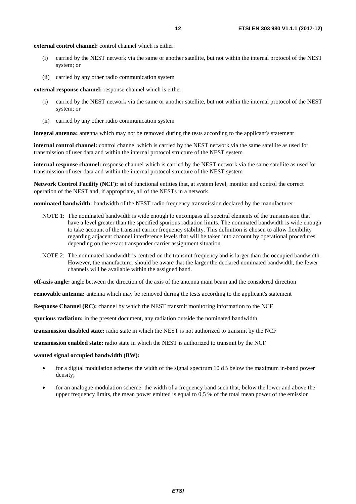**external control channel:** control channel which is either:

- (i) carried by the NEST network via the same or another satellite, but not within the internal protocol of the NEST system; or
- (ii) carried by any other radio communication system

**external response channel:** response channel which is either:

- (i) carried by the NEST network via the same or another satellite, but not within the internal protocol of the NEST system; or
- (ii) carried by any other radio communication system

**integral antenna:** antenna which may not be removed during the tests according to the applicant's statement

**internal control channel:** control channel which is carried by the NEST network via the same satellite as used for transmission of user data and within the internal protocol structure of the NEST system

**internal response channel:** response channel which is carried by the NEST network via the same satellite as used for transmission of user data and within the internal protocol structure of the NEST system

**Network Control Facility (NCF):** set of functional entities that, at system level, monitor and control the correct operation of the NEST and, if appropriate, all of the NESTs in a network

**nominated bandwidth:** bandwidth of the NEST radio frequency transmission declared by the manufacturer

- NOTE 1: The nominated bandwidth is wide enough to encompass all spectral elements of the transmission that have a level greater than the specified spurious radiation limits. The nominated bandwidth is wide enough to take account of the transmit carrier frequency stability. This definition is chosen to allow flexibility regarding adjacent channel interference levels that will be taken into account by operational procedures depending on the exact transponder carrier assignment situation.
- NOTE 2: The nominated bandwidth is centred on the transmit frequency and is larger than the occupied bandwidth. However, the manufacturer should be aware that the larger the declared nominated bandwidth, the fewer channels will be available within the assigned band.

**off-axis angle:** angle between the direction of the axis of the antenna main beam and the considered direction

**removable antenna:** antenna which may be removed during the tests according to the applicant's statement

**Response Channel (RC):** channel by which the NEST transmit monitoring information to the NCF

**spurious radiation:** in the present document, any radiation outside the nominated bandwidth

**transmission disabled state:** radio state in which the NEST is not authorized to transmit by the NCF

**transmission enabled state:** radio state in which the NEST is authorized to transmit by the NCF

#### **wanted signal occupied bandwidth (BW):**

- for a digital modulation scheme: the width of the signal spectrum 10 dB below the maximum in-band power density;
- for an analogue modulation scheme: the width of a frequency band such that, below the lower and above the upper frequency limits, the mean power emitted is equal to 0,5 % of the total mean power of the emission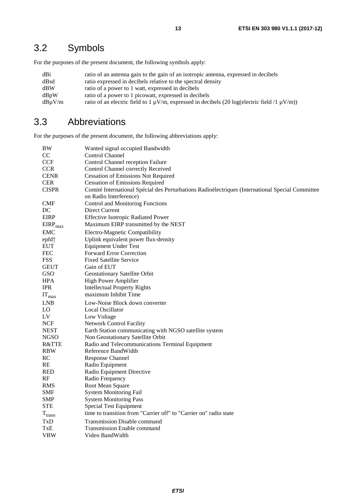# <span id="page-12-0"></span>3.2 Symbols

For the purposes of the present document, the following symbols apply:

| dBi    | ratio of an antenna gain to the gain of an isotropic antenna, expressed in decibels                    |
|--------|--------------------------------------------------------------------------------------------------------|
| dBsd   | ratio expressed in decibels relative to the spectral density                                           |
| dBW    | ratio of a power to 1 watt, expressed in decibels                                                      |
| dBvW   | ratio of a power to 1 picowatt, expressed in decibels                                                  |
| dBuV/m | ratio of an electric field to 1 $\mu$ V/m, expressed in decibels (20 log(electric field /1 $\mu$ V/m)) |

# 3.3 Abbreviations

For the purposes of the present document, the following abbreviations apply:

| BW                | Wanted signal occupied Bandwidth                                                                 |
|-------------------|--------------------------------------------------------------------------------------------------|
| CC                | <b>Control Channel</b>                                                                           |
| <b>CCF</b>        | Control Channel reception Failure                                                                |
| <b>CCR</b>        | Control Channel correctly Received                                                               |
| <b>CENR</b>       | <b>Cessation of Emissions Not Required</b>                                                       |
| <b>CER</b>        | <b>Cessation of Emissions Required</b>                                                           |
| <b>CISPR</b>      | Comité International Spécial des Perturbations Radioélectriques (International Special Committee |
|                   | on Radio Interference)                                                                           |
| <b>CMF</b>        | Control and Monitoring Functions                                                                 |
| DC                | Direct Current                                                                                   |
| <b>EIRP</b>       | <b>Effective Isotropic Radiated Power</b>                                                        |
| $EIRP_{max}$      | Maximum EIRP transmitted by the NEST                                                             |
| <b>EMC</b>        | Electro-Magnetic Compatibility                                                                   |
| epfd↑             | Uplink equivalent power flux-density                                                             |
| <b>EUT</b>        | <b>Equipment Under Test</b>                                                                      |
| <b>FEC</b>        | <b>Forward Error Correction</b>                                                                  |
| <b>FSS</b>        | <b>Fixed Satellite Service</b>                                                                   |
| <b>GEUT</b>       | Gain of EUT                                                                                      |
| GSO               | Geostationary Satellite Orbit                                                                    |
| <b>HPA</b>        | High Power Amplifier                                                                             |
| <b>IPR</b>        | <b>Intellectual Property Rights</b>                                                              |
| $IT_{\text{max}}$ | maximum Inhibit Time                                                                             |
| LNB               | Low-Noise Block down converter                                                                   |
| LO                | Local Oscillator                                                                                 |
| LV                | Low Voltage                                                                                      |
| <b>NCF</b>        | Network Control Facility                                                                         |
| <b>NEST</b>       | Earth Station communicating with NGSO satellite system                                           |
| <b>NGSO</b>       | Non Geostationary Satellite Orbit                                                                |
| <b>R&amp;TTE</b>  | Radio and Telecommunications Terminal Equipment                                                  |
| <b>RBW</b>        | Reference BandWidth                                                                              |
| RC                | Response Channel                                                                                 |
| RE                | Radio Equipment                                                                                  |
| <b>RED</b>        | Radio Equipment Directive                                                                        |
| RF                | Radio Frequency                                                                                  |
| <b>RMS</b>        | Root Mean Square                                                                                 |
| <b>SMF</b>        | <b>System Monitoring Fail</b>                                                                    |
| <b>SMP</b>        | <b>System Monitoring Pass</b>                                                                    |
| <b>STE</b>        | <b>Special Test Equipment</b>                                                                    |
| $T_{trans}$       | time to transition from "Carrier off" to "Carrier on" radio state                                |
| TxD               | <b>Transmission Disable command</b>                                                              |
| TxE               | <b>Transmission Enable command</b>                                                               |
| <b>VBW</b>        | Video BandWidth                                                                                  |
|                   |                                                                                                  |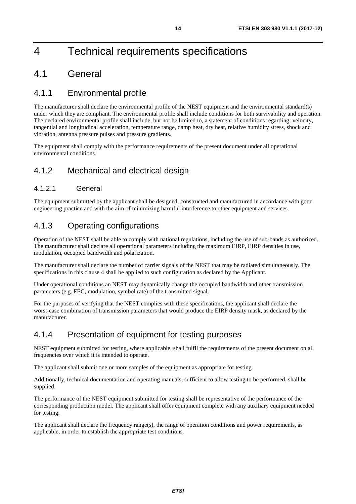# <span id="page-13-0"></span>4 Technical requirements specifications

# 4.1 General

# 4.1.1 Environmental profile

The manufacturer shall declare the environmental profile of the NEST equipment and the environmental standard(s) under which they are compliant. The environmental profile shall include conditions for both survivability and operation. The declared environmental profile shall include, but not be limited to, a statement of conditions regarding: velocity, tangential and longitudinal acceleration, temperature range, damp heat, dry heat, relative humidity stress, shock and vibration, antenna pressure pulses and pressure gradients.

The equipment shall comply with the performance requirements of the present document under all operational environmental conditions.

# 4.1.2 Mechanical and electrical design

## 4.1.2.1 General

The equipment submitted by the applicant shall be designed, constructed and manufactured in accordance with good engineering practice and with the aim of minimizing harmful interference to other equipment and services.

# 4.1.3 Operating configurations

Operation of the NEST shall be able to comply with national regulations, including the use of sub-bands as authorized. The manufacturer shall declare all operational parameters including the maximum EIRP, EIRP densities in use, modulation, occupied bandwidth and polarization.

The manufacturer shall declare the number of carrier signals of the NEST that may be radiated simultaneously. The specifications in this clause 4 shall be applied to such configuration as declared by the Applicant.

Under operational conditions an NEST may dynamically change the occupied bandwidth and other transmission parameters (e.g. FEC, modulation, symbol rate) of the transmitted signal.

For the purposes of verifying that the NEST complies with these specifications, the applicant shall declare the worst-case combination of transmission parameters that would produce the EIRP density mask, as declared by the manufacturer.

# 4.1.4 Presentation of equipment for testing purposes

NEST equipment submitted for testing, where applicable, shall fulfil the requirements of the present document on all frequencies over which it is intended to operate.

The applicant shall submit one or more samples of the equipment as appropriate for testing.

Additionally, technical documentation and operating manuals, sufficient to allow testing to be performed, shall be supplied.

The performance of the NEST equipment submitted for testing shall be representative of the performance of the corresponding production model. The applicant shall offer equipment complete with any auxiliary equipment needed for testing.

The applicant shall declare the frequency range(s), the range of operation conditions and power requirements, as applicable, in order to establish the appropriate test conditions.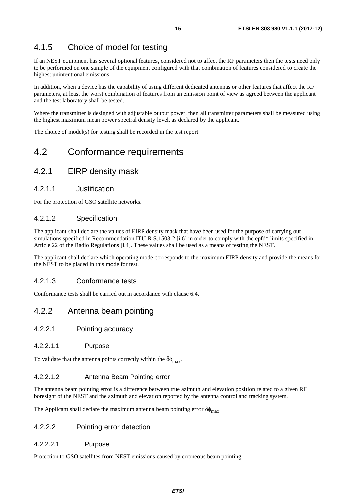# <span id="page-14-0"></span>4.1.5 Choice of model for testing

If an NEST equipment has several optional features, considered not to affect the RF parameters then the tests need only to be performed on one sample of the equipment configured with that combination of features considered to create the highest unintentional emissions.

In addition, when a device has the capability of using different dedicated antennas or other features that affect the RF parameters, at least the worst combination of features from an emission point of view as agreed between the applicant and the test laboratory shall be tested.

Where the transmitter is designed with adjustable output power, then all transmitter parameters shall be measured using the highest maximum mean power spectral density level, as declared by the applicant.

The choice of model(s) for testing shall be recorded in the test report.

# 4.2 Conformance requirements

# 4.2.1 EIRP density mask

### 4.2.1.1 Justification

For the protection of GSO satellite networks.

### 4.2.1.2 Specification

The applicant shall declare the values of EIRP density mask that have been used for the purpose of carrying out simulations specified in Recommendation ITU-R S.1503-2 [\[i.6\]](#page-9-0) in order to comply with the epfd↑ limits specified in Article 22 of the Radio Regulations [[i.4](#page-9-0)]. These values shall be used as a means of testing the NEST.

The applicant shall declare which operating mode corresponds to the maximum EIRP density and provide the means for the NEST to be placed in this mode for test.

### 4.2.1.3 Conformance tests

Conformance tests shall be carried out in accordance with clause 6.4.

# 4.2.2 Antenna beam pointing

- 4.2.2.1 Pointing accuracy
- 4.2.2.1.1 Purpose

To validate that the antenna points correctly within the  $\delta\phi_{\text{max}}$ .

### 4.2.2.1.2 Antenna Beam Pointing error

The antenna beam pointing error is a difference between true azimuth and elevation position related to a given RF boresight of the NEST and the azimuth and elevation reported by the antenna control and tracking system.

The Applicant shall declare the maximum antenna beam pointing error  $\delta\phi_{\text{max}}$ .

### 4.2.2.2 Pointing error detection

#### 4.2.2.2.1 Purpose

Protection to GSO satellites from NEST emissions caused by erroneous beam pointing.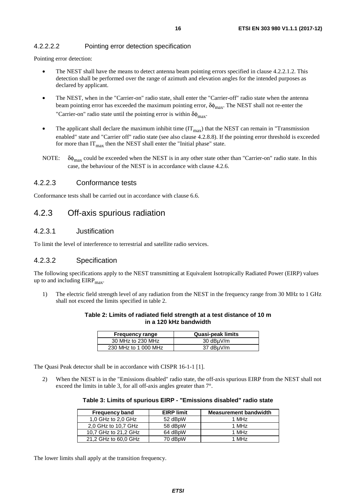## <span id="page-15-0"></span>4.2.2.2.2 Pointing error detection specification

Pointing error detection:

- The NEST shall have the means to detect antenna beam pointing errors specified in clause 4.2.2.1.2. This detection shall be performed over the range of azimuth and elevation angles for the intended purposes as declared by applicant.
- The NEST, when in the "Carrier-on" radio state, shall enter the "Carrier-off" radio state when the antenna beam pointing error has exceeded the maximum pointing error,  $\delta\phi_{\text{max}}$ . The NEST shall not re-enter the "Carrier-on" radio state until the pointing error is within  $\delta\phi_{\text{max}}$ .
- The applicant shall declare the maximum inhibit time  $(IT<sub>max</sub>)$  that the NEST can remain in "Transmission enabled" state and "Carrier off" radio state (see also clause 4.2.8.8). If the pointing error threshold is exceeded for more than  $IT<sub>max</sub>$  then the NEST shall enter the "Initial phase" state.
- NOTE:  $\delta\phi_{\text{max}}$  could be exceeded when the NEST is in any other state other than "Carrier-on" radio state. In this case, the behaviour of the NEST is in accordance with clause 4.2.6.

### 4.2.2.3 Conformance tests

Conformance tests shall be carried out in accordance with clause 6.6.

# 4.2.3 Off-axis spurious radiation

### 4.2.3.1 Justification

To limit the level of interference to terrestrial and satellite radio services.

### 4.2.3.2 Specification

The following specifications apply to the NEST transmitting at Equivalent Isotropically Radiated Power (EIRP) values up to and including  $EIRP<sub>max</sub>$ .

1) The electric field strength level of any radiation from the NEST in the frequency range from 30 MHz to 1 GHz shall not exceed the limits specified in table 2.

| Table 2: Limits of radiated field strength at a test distance of 10 m |
|-----------------------------------------------------------------------|
| in a 120 kHz bandwidth                                                |

| <b>Frequency range</b> | Quasi-peak limits |
|------------------------|-------------------|
| 30 MHz to 230 MHz      | 30 dBµV/m         |
| 230 MHz to 1 000 MHz   | 37 dBuV/m         |

The Quasi Peak detector shall be in accordance with CISPR 16-1-1 [\[1](#page-9-0)].

2) When the NEST is in the "Emissions disabled" radio state, the off-axis spurious EIRP from the NEST shall not exceed the limits in table 3, for all off-axis angles greater than 7°.

| Table 3: Limits of spurious EIRP - "Emissions disabled" radio state |  |  |
|---------------------------------------------------------------------|--|--|
|---------------------------------------------------------------------|--|--|

| <b>Frequency band</b> | <b>EIRP</b> limit | <b>Measurement bandwidth</b> |
|-----------------------|-------------------|------------------------------|
| 1,0 GHz to 2,0 GHz    | 52 dBpW           | 1 MH <sub>z</sub>            |
| 2.0 GHz to 10.7 GHz   | 58 dBpW           | 1 MH <sub>z</sub>            |
| 10.7 GHz to 21.2 GHz  | 64 dBpW           | 1 MH <sub>z</sub>            |
| 21,2 GHz to 60,0 GHz  | 70 dBpW           | 1 MH <sub>z</sub>            |

The lower limits shall apply at the transition frequency.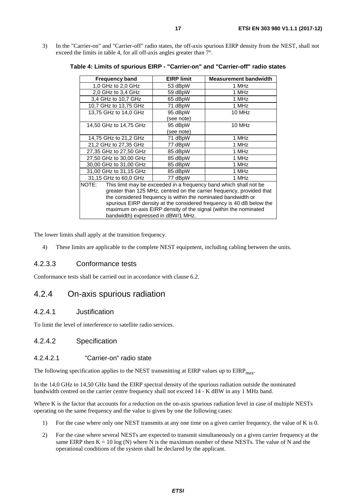<span id="page-16-0"></span>3) In the "Carrier-on" and "Carrier-off" radio states, the off-axis spurious EIRP density from the NEST, shall not exceed the limits in table 4, for all off-axis angles greater than 7°.

| <b>Frequency band</b>                                                      | <b>EIRP limit</b> | <b>Measurement bandwidth</b> |  |
|----------------------------------------------------------------------------|-------------------|------------------------------|--|
| 1,0 GHz to 2,0 GHz                                                         | 53 dBpW           | 1 MHz                        |  |
| 2,0 GHz to 3,4 GHz                                                         | 59 dBpW           | 1 MHz                        |  |
| 3.4 GHz to 10.7 GHz                                                        | 65 dBpW           | 1 MHz                        |  |
| 10,7 GHz to 13,75 GHz                                                      | 71 dBpW           | 1 MHz                        |  |
| 13,75 GHz to 14,0 GHz                                                      | 95 dBpW           | 10 MHz                       |  |
|                                                                            | (see note)        |                              |  |
| 14,50 GHz to 14,75 GHz                                                     | 95 dBpW           | 10 MHz                       |  |
|                                                                            | (see note)        |                              |  |
| 14,75 GHz to 21,2 GHz                                                      | 71 dBpW           | 1 MHz                        |  |
| 21,2 GHz to 27,35 GHz                                                      | 77 dBpW           | 1 MHz                        |  |
| 27,35 GHz to 27,50 GHz                                                     | 85 dBpW           | 1 MHz                        |  |
| 27,50 GHz to 30,00 GHz                                                     | 85 dBpW           | 1 MHz                        |  |
| 30,00 GHz to 31,00 GHz                                                     | 85 dBpW           | 1 MHz                        |  |
| 31,00 GHz to 31,15 GHz                                                     | 85 dBpW           | 1 MHz                        |  |
| 31,15 GHz to 60,0 GHz                                                      | 77 dBpW           | 1 MHz                        |  |
| NOTE:<br>This limit may be exceeded in a frequency band which shall not be |                   |                              |  |
| greater than 125 MHz, centred on the carrier frequency, provided that      |                   |                              |  |
| the considered frequency is within the nominated bandwidth or              |                   |                              |  |
| spurious EIRP density at the considered frequency is 40 dB below the       |                   |                              |  |
| maximum on-axis EIRP density of the signal (within the nominated           |                   |                              |  |
| bandwidth) expressed in dBW/1 MHz.                                         |                   |                              |  |

**Table 4: Limits of spurious EIRP - "Carrier-on" and "Carrier-off" radio states** 

The lower limits shall apply at the transition frequency.

4) These limits are applicable to the complete NEST equipment, including cabling between the units.

### 4.2.3.3 Conformance tests

Conformance tests shall be carried out in accordance with clause 6.2.

# 4.2.4 On-axis spurious radiation

### 4.2.4.1 Justification

To limit the level of interference to satellite radio services.

### 4.2.4.2 Specification

#### 4.2.4.2.1 "Carrier-on" radio state

The following specification applies to the NEST transmitting at EIRP values up to  $EIRP<sub>max</sub>$ .

In the 14,0 GHz to 14,50 GHz band the EIRP spectral density of the spurious radiation outside the nominated bandwidth centred on the carrier centre frequency shall not exceed 14 - K dBW in any 1 MHz band.

Where K is the factor that accounts for a reduction on the on-axis spurious radiation level in case of multiple NESTs operating on the same frequency and the value is given by one the following cases:

- 1) For the case where only one NEST transmits at any one time on a given carrier frequency, the value of K is 0.
- 2) For the case where several NESTs are expected to transmit simultaneously on a given carrier frequency at the same EIRP then  $K = 10 \log(N)$  where N is the maximum number of these NESTs. The value of N and the operational conditions of the system shall be declared by the applicant.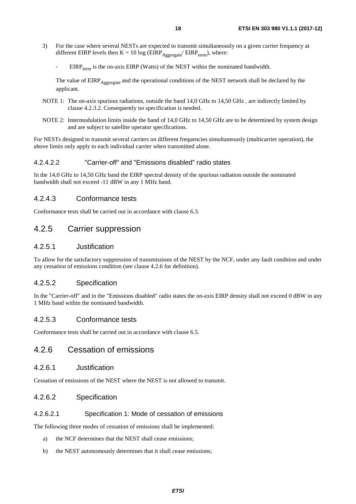- <span id="page-17-0"></span>3) For the case where several NESTs are expected to transmit simultaneously on a given carrier frequency at different EIRP levels then  $K = 10 \log (EIRP_{Aggregate}/EIRP_{term})$ , where:
	- $EIRP_{term}$  is the on-axis EIRP (Watts) of the NEST within the nominated bandwidth.

The value of EIRP<sub>Aggregate</sub> and the operational conditions of the NEST network shall be declared by the applicant.

- NOTE 1: The on-axis spurious radiations, outside the band 14,0 GHz to 14,50 GHz , are indirectly limited by clause 4.2.3.2. Consequently no specification is needed.
- NOTE 2: Intermodulation limits inside the band of 14,0 GHz to 14,50 GHz are to be determined by system design and are subject to satellite operator specifications.

For NESTs designed to transmit several carriers on different frequencies simultaneously (multicarrier operation), the above limits only apply to each individual carrier when transmitted alone.

### 4.2.4.2.2 "Carrier-off" and "Emissions disabled" radio states

In the 14,0 GHz to 14,50 GHz band the EIRP spectral density of the spurious radiation outside the nominated bandwidth shall not exceed -11 dBW in any 1 MHz band.

### 4.2.4.3 Conformance tests

Conformance tests shall be carried out in accordance with clause 6.3.

# 4.2.5 Carrier suppression

## 4.2.5.1 Justification

To allow for the satisfactory suppression of transmissions of the NEST by the NCF, under any fault condition and under any cessation of emissions condition (see clause 4.2.6 for definition).

### 4.2.5.2 Specification

In the "Carrier-off" and in the "Emissions disabled" radio states the on-axis EIRP density shall not exceed 0 dBW in any 1 MHz band within the nominated bandwidth.

### 4.2.5.3 Conformance tests

Conformance tests shall be carried out in accordance with clause 6.5.

# 4.2.6 Cessation of emissions

### 4.2.6.1 Justification

Cessation of emissions of the NEST where the NEST is not allowed to transmit.

### 4.2.6.2 Specification

### 4.2.6.2.1 Specification 1: Mode of cessation of emissions

The following three modes of cessation of emissions shall be implemented:

- a) the NCF determines that the NEST shall cease emissions;
- b) the NEST autonomously determines that it shall cease emissions;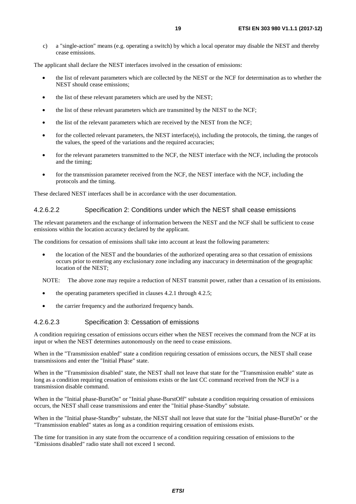<span id="page-18-0"></span>c) a "single-action" means (e.g. operating a switch) by which a local operator may disable the NEST and thereby cease emissions.

The applicant shall declare the NEST interfaces involved in the cessation of emissions:

- the list of relevant parameters which are collected by the NEST or the NCF for determination as to whether the NEST should cease emissions;
- the list of these relevant parameters which are used by the NEST:
- the list of these relevant parameters which are transmitted by the NEST to the NCF;
- the list of the relevant parameters which are received by the NEST from the NCF;
- for the collected relevant parameters, the NEST interface(s), including the protocols, the timing, the ranges of the values, the speed of the variations and the required accuracies;
- for the relevant parameters transmitted to the NCF, the NEST interface with the NCF, including the protocols and the timing;
- for the transmission parameter received from the NCF, the NEST interface with the NCF, including the protocols and the timing.

These declared NEST interfaces shall be in accordance with the user documentation.

#### 4.2.6.2.2 Specification 2: Conditions under which the NEST shall cease emissions

The relevant parameters and the exchange of information between the NEST and the NCF shall be sufficient to cease emissions within the location accuracy declared by the applicant.

The conditions for cessation of emissions shall take into account at least the following parameters:

• the location of the NEST and the boundaries of the authorized operating area so that cessation of emissions occurs prior to entering any exclusionary zone including any inaccuracy in determination of the geographic location of the NEST;

NOTE: The above zone may require a reduction of NEST transmit power, rather than a cessation of its emissions.

- the operating parameters specified in clauses 4.2.1 through 4.2.5;
- the carrier frequency and the authorized frequency bands.

#### 4.2.6.2.3 Specification 3: Cessation of emissions

A condition requiring cessation of emissions occurs either when the NEST receives the command from the NCF at its input or when the NEST determines autonomously on the need to cease emissions.

When in the "Transmission enabled" state a condition requiring cessation of emissions occurs, the NEST shall cease transmissions and enter the "Initial Phase" state.

When in the "Transmission disabled" state, the NEST shall not leave that state for the "Transmission enable" state as long as a condition requiring cessation of emissions exists or the last CC command received from the NCF is a transmission disable command.

When in the "Initial phase-BurstOn" or "Initial phase-BurstOff" substate a condition requiring cessation of emissions occurs, the NEST shall cease transmissions and enter the "Initial phase-Standby" substate.

When in the "Initial phase-Standby" substate, the NEST shall not leave that state for the "Initial phase-BurstOn" or the "Transmission enabled" states as long as a condition requiring cessation of emissions exists.

The time for transition in any state from the occurrence of a condition requiring cessation of emissions to the "Emissions disabled" radio state shall not exceed 1 second.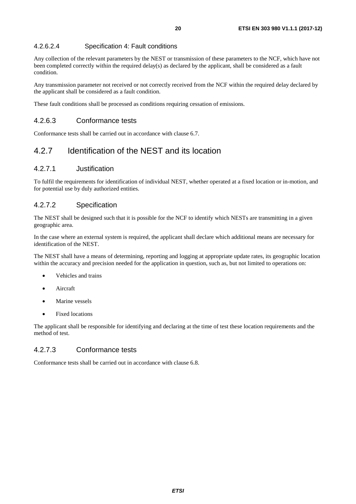## <span id="page-19-0"></span>4.2.6.2.4 Specification 4: Fault conditions

Any collection of the relevant parameters by the NEST or transmission of these parameters to the NCF, which have not been completed correctly within the required delay(s) as declared by the applicant, shall be considered as a fault condition.

Any transmission parameter not received or not correctly received from the NCF within the required delay declared by the applicant shall be considered as a fault condition.

These fault conditions shall be processed as conditions requiring cessation of emissions.

### 4.2.6.3 Conformance tests

Conformance tests shall be carried out in accordance with clause 6.7.

# 4.2.7 Identification of the NEST and its location

## 4.2.7.1 Justification

To fulfil the requirements for identification of individual NEST, whether operated at a fixed location or in-motion, and for potential use by duly authorized entities.

### 4.2.7.2 Specification

The NEST shall be designed such that it is possible for the NCF to identify which NESTs are transmitting in a given geographic area.

In the case where an external system is required, the applicant shall declare which additional means are necessary for identification of the NEST.

The NEST shall have a means of determining, reporting and logging at appropriate update rates, its geographic location within the accuracy and precision needed for the application in question, such as, but not limited to operations on:

- Vehicles and trains
- Aircraft
- Marine vessels
- Fixed locations

The applicant shall be responsible for identifying and declaring at the time of test these location requirements and the method of test.

## 4.2.7.3 Conformance tests

Conformance tests shall be carried out in accordance with clause 6.8.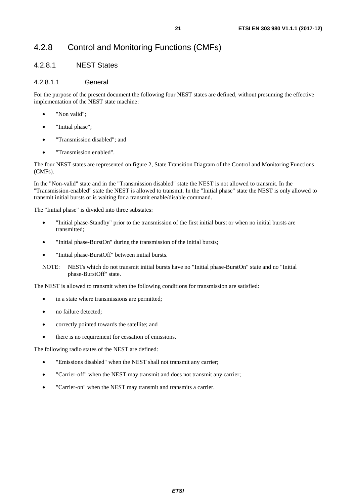# <span id="page-20-0"></span>4.2.8 Control and Monitoring Functions (CMFs)

## 4.2.8.1 NEST States

### 4.2.8.1.1 General

For the purpose of the present document the following four NEST states are defined, without presuming the effective implementation of the NEST state machine:

- "Non valid";
- "Initial phase";
- "Transmission disabled"; and
- "Transmission enabled".

The four NEST states are represented on figure 2, State Transition Diagram of the Control and Monitoring Functions (CMFs).

In the "Non-valid" state and in the "Transmission disabled" state the NEST is not allowed to transmit. In the "Transmission-enabled" state the NEST is allowed to transmit. In the "Initial phase" state the NEST is only allowed to transmit initial bursts or is waiting for a transmit enable/disable command.

The "Initial phase" is divided into three substates:

- "Initial phase-Standby" prior to the transmission of the first initial burst or when no initial bursts are transmitted;
- "Initial phase-BurstOn" during the transmission of the initial bursts;
- "Initial phase-BurstOff" between initial bursts.
- NOTE: NESTs which do not transmit initial bursts have no "Initial phase-BurstOn" state and no "Initial phase-BurstOff" state.

The NEST is allowed to transmit when the following conditions for transmission are satisfied:

- in a state where transmissions are permitted;
- no failure detected;
- correctly pointed towards the satellite; and
- there is no requirement for cessation of emissions.

The following radio states of the NEST are defined:

- "Emissions disabled" when the NEST shall not transmit any carrier;
- "Carrier-off" when the NEST may transmit and does not transmit any carrier;
- "Carrier-on" when the NEST may transmit and transmits a carrier.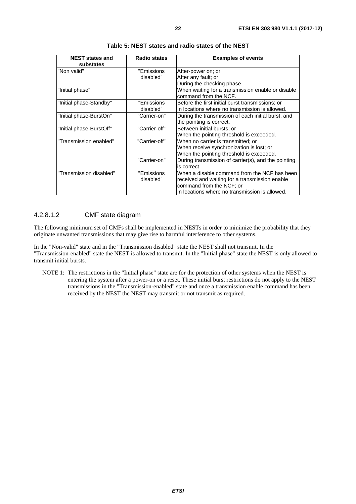<span id="page-21-0"></span>

| <b>NEST states and</b><br>substates | <b>Radio states</b>     | <b>Examples of events</b>                                                                          |
|-------------------------------------|-------------------------|----------------------------------------------------------------------------------------------------|
| "Non valid"                         | "Emissions              | After-power on; or                                                                                 |
|                                     | disabled"               | After any fault; or                                                                                |
|                                     |                         | During the checking phase.                                                                         |
| "Initial phase"                     |                         | When waiting for a transmission enable or disable<br>command from the NCF.                         |
| "Initial phase-Standby"             | "Emissions<br>disabled" | Before the first initial burst transmissions; or<br>In locations where no transmission is allowed. |
| "Initial phase-BurstOn"             | "Carrier-on"            | During the transmission of each initial burst, and                                                 |
|                                     |                         | the pointing is correct.                                                                           |
| "Initial phase-BurstOff"            | "Carrier-off"           | Between initial bursts; or                                                                         |
|                                     |                         | When the pointing threshold is exceeded.                                                           |
| "Transmission enabled"              | "Carrier-off"           | When no carrier is transmitted; or                                                                 |
|                                     |                         | When receive synchronization is lost; or                                                           |
|                                     |                         | When the pointing threshold is exceeded.                                                           |
|                                     | "Carrier-on"            | During transmission of carrier(s), and the pointing                                                |
|                                     |                         | is correct.                                                                                        |
| "Transmission disabled"             | "Emissions              | When a disable command from the NCF has been                                                       |
|                                     | disabled"               | received and waiting for a transmission enable                                                     |
|                                     |                         | command from the NCF; or                                                                           |
|                                     |                         | In locations where no transmission is allowed.                                                     |

| Table 5: NEST states and radio states of the NEST |
|---------------------------------------------------|
|---------------------------------------------------|

### 4.2.8.1.2 CMF state diagram

The following minimum set of CMFs shall be implemented in NESTs in order to minimize the probability that they originate unwanted transmissions that may give rise to harmful interference to other systems.

In the "Non-valid" state and in the "Transmission disabled" state the NEST shall not transmit. In the "Transmission-enabled" state the NEST is allowed to transmit. In the "Initial phase" state the NEST is only allowed to transmit initial bursts.

NOTE 1: The restrictions in the "Initial phase" state are for the protection of other systems when the NEST is entering the system after a power-on or a reset. These initial burst restrictions do not apply to the NEST transmissions in the "Transmission-enabled" state and once a transmission enable command has been received by the NEST the NEST may transmit or not transmit as required.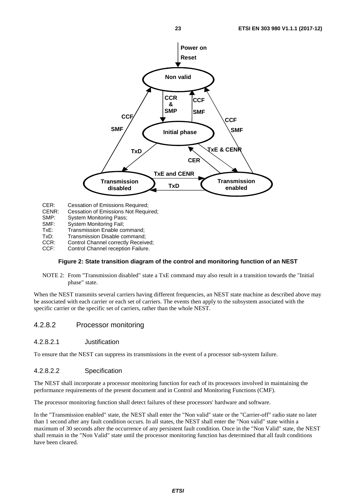<span id="page-22-0"></span>

CER: Cessation of Emissions Required;

- CENR: Cessation of Emissions Not Required;
- 
- SMP: System Monitoring Pass;<br>SMF: System Monitoring Fail: System Monitoring Fail;
- TxE: Transmission Enable command;
- TxD: Transmission Disable command;
- CCR: Control Channel correctly Received;<br>CCF: Control Channel reception Failure.
- Control Channel reception Failure.

#### **Figure 2: State transition diagram of the control and monitoring function of an NEST**

NOTE 2: From "Transmission disabled" state a TxE command may also result in a transition towards the "Initial phase" state.

When the NEST transmits several carriers having different frequencies, an NEST state machine as described above may be associated with each carrier or each set of carriers. The events then apply to the subsystem associated with the specific carrier or the specific set of carriers, rather than the whole NEST.

### 4.2.8.2 Processor monitoring

#### 4.2.8.2.1 Justification

To ensure that the NEST can suppress its transmissions in the event of a processor sub-system failure.

#### 4.2.8.2.2 Specification

The NEST shall incorporate a processor monitoring function for each of its processors involved in maintaining the performance requirements of the present document and in Control and Monitoring Functions (CMF).

The processor monitoring function shall detect failures of these processors' hardware and software.

In the "Transmission enabled" state, the NEST shall enter the "Non valid" state or the "Carrier-off" radio state no later than 1 second after any fault condition occurs. In all states, the NEST shall enter the "Non valid" state within a maximum of 30 seconds after the occurrence of any persistent fault condition. Once in the "Non Valid" state, the NEST shall remain in the "Non Valid" state until the processor monitoring function has determined that all fault conditions have been cleared.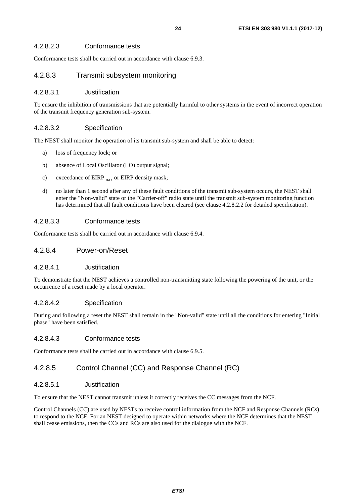### <span id="page-23-0"></span>4.2.8.2.3 Conformance tests

Conformance tests shall be carried out in accordance with clause 6.9.3.

### 4.2.8.3 Transmit subsystem monitoring

#### 4.2.8.3.1 Justification

To ensure the inhibition of transmissions that are potentially harmful to other systems in the event of incorrect operation of the transmit frequency generation sub-system.

#### 4.2.8.3.2 Specification

The NEST shall monitor the operation of its transmit sub-system and shall be able to detect:

- a) loss of frequency lock; or
- b) absence of Local Oscillator (LO) output signal;
- c) exceedance of  $EIRP<sub>max</sub>$  or  $EIRP$  density mask;
- d) no later than 1 second after any of these fault conditions of the transmit sub-system occurs, the NEST shall enter the "Non-valid" state or the "Carrier-off" radio state until the transmit sub-system monitoring function has determined that all fault conditions have been cleared (see clause 4.2.8.2.2 for detailed specification).

#### 4.2.8.3.3 Conformance tests

Conformance tests shall be carried out in accordance with clause 6.9.4.

### 4.2.8.4 Power-on/Reset

#### 4.2.8.4.1 Justification

To demonstrate that the NEST achieves a controlled non-transmitting state following the powering of the unit, or the occurrence of a reset made by a local operator.

### 4.2.8.4.2 Specification

During and following a reset the NEST shall remain in the "Non-valid" state until all the conditions for entering "Initial phase" have been satisfied.

#### 4.2.8.4.3 Conformance tests

Conformance tests shall be carried out in accordance with clause 6.9.5.

### 4.2.8.5 Control Channel (CC) and Response Channel (RC)

#### 4.2.8.5.1 Justification

To ensure that the NEST cannot transmit unless it correctly receives the CC messages from the NCF.

Control Channels (CC) are used by NESTs to receive control information from the NCF and Response Channels (RCs) to respond to the NCF. For an NEST designed to operate within networks where the NCF determines that the NEST shall cease emissions, then the CCs and RCs are also used for the dialogue with the NCF.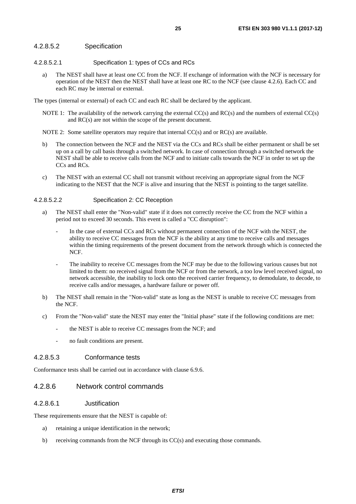#### <span id="page-24-0"></span>4.2.8.5.2 Specification

- 4.2.8.5.2.1 Specification 1: types of CCs and RCs
	- a) The NEST shall have at least one CC from the NCF. If exchange of information with the NCF is necessary for operation of the NEST then the NEST shall have at least one RC to the NCF (see clause 4.2.6). Each CC and each RC may be internal or external.

The types (internal or external) of each CC and each RC shall be declared by the applicant.

- NOTE 1: The availability of the network carrying the external CC(s) and RC(s) and the numbers of external CC(s) and RC(s) are not within the scope of the present document.
- NOTE 2: Some satellite operators may require that internal CC(s) and or RC(s) are available.
- b) The connection between the NCF and the NEST via the CCs and RCs shall be either permanent or shall be set up on a call by call basis through a switched network. In case of connection through a switched network the NEST shall be able to receive calls from the NCF and to initiate calls towards the NCF in order to set up the CCs and RCs.
- c) The NEST with an external CC shall not transmit without receiving an appropriate signal from the NCF indicating to the NEST that the NCF is alive and insuring that the NEST is pointing to the target satellite.

#### 4.2.8.5.2.2 Specification 2: CC Reception

- a) The NEST shall enter the "Non-valid" state if it does not correctly receive the CC from the NCF within a period not to exceed 30 seconds. This event is called a "CC disruption":
	- In the case of external CCs and RCs without permanent connection of the NCF with the NEST, the ability to receive CC messages from the NCF is the ability at any time to receive calls and messages within the timing requirements of the present document from the network through which is connected the NCF.
	- The inability to receive CC messages from the NCF may be due to the following various causes but not limited to them: no received signal from the NCF or from the network, a too low level received signal, no network accessible, the inability to lock onto the received carrier frequency, to demodulate, to decode, to receive calls and/or messages, a hardware failure or power off.
- b) The NEST shall remain in the "Non-valid" state as long as the NEST is unable to receive CC messages from the NCF.
- c) From the "Non-valid" state the NEST may enter the "Initial phase" state if the following conditions are met:
	- the NEST is able to receive CC messages from the NCF; and
	- no fault conditions are present.

#### 4.2.8.5.3 Conformance tests

Conformance tests shall be carried out in accordance with clause 6.9.6.

#### 4.2.8.6 Network control commands

#### 4.2.8.6.1 Justification

These requirements ensure that the NEST is capable of:

- a) retaining a unique identification in the network;
- b) receiving commands from the NCF through its CC(s) and executing those commands.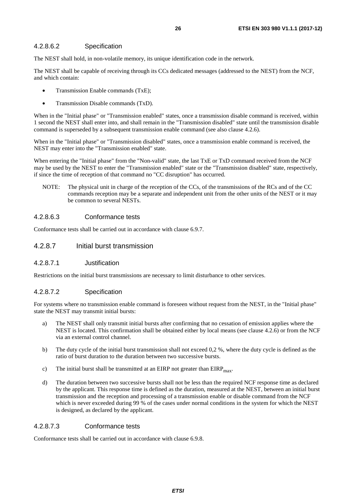#### <span id="page-25-0"></span>4.2.8.6.2 Specification

The NEST shall hold, in non-volatile memory, its unique identification code in the network.

The NEST shall be capable of receiving through its CCs dedicated messages (addressed to the NEST) from the NCF, and which contain:

- Transmission Enable commands (TxE);
- Transmission Disable commands (TxD).

When in the "Initial phase" or "Transmission enabled" states, once a transmission disable command is received, within 1 second the NEST shall enter into, and shall remain in the "Transmission disabled" state until the transmission disable command is superseded by a subsequent transmission enable command (see also clause 4.2.6).

When in the "Initial phase" or "Transmission disabled" states, once a transmission enable command is received, the NEST may enter into the "Transmission enabled" state.

When entering the "Initial phase" from the "Non-valid" state, the last TxE or TxD command received from the NCF may be used by the NEST to enter the "Transmission enabled" state or the "Transmission disabled" state, respectively, if since the time of reception of that command no "CC disruption" has occurred.

NOTE: The physical unit in charge of the reception of the CCs, of the transmissions of the RCs and of the CC commands reception may be a separate and independent unit from the other units of the NEST or it may be common to several NESTs.

#### 4.2.8.6.3 Conformance tests

Conformance tests shall be carried out in accordance with clause 6.9.7.

### 4.2.8.7 Initial burst transmission

#### 4.2.8.7.1 Justification

Restrictions on the initial burst transmissions are necessary to limit disturbance to other services.

#### 4.2.8.7.2 Specification

For systems where no transmission enable command is foreseen without request from the NEST, in the "Initial phase" state the NEST may transmit initial bursts:

- a) The NEST shall only transmit initial bursts after confirming that no cessation of emission applies where the NEST is located. This confirmation shall be obtained either by local means (see clause 4.2.6) or from the NCF via an external control channel.
- b) The duty cycle of the initial burst transmission shall not exceed 0,2 %, where the duty cycle is defined as the ratio of burst duration to the duration between two successive bursts.
- c) The initial burst shall be transmitted at an EIRP not greater than  $EIRP<sub>max</sub>$ .
- d) The duration between two successive bursts shall not be less than the required NCF response time as declared by the applicant. This response time is defined as the duration, measured at the NEST, between an initial burst transmission and the reception and processing of a transmission enable or disable command from the NCF which is never exceeded during 99 % of the cases under normal conditions in the system for which the NEST is designed, as declared by the applicant.

#### 4.2.8.7.3 Conformance tests

Conformance tests shall be carried out in accordance with clause 6.9.8.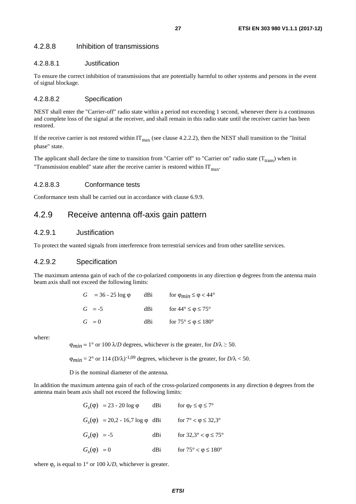### <span id="page-26-0"></span>4.2.8.8 Inhibition of transmissions

### 4.2.8.8.1 Justification

To ensure the correct inhibition of transmissions that are potentially harmful to other systems and persons in the event of signal blockage.

#### 4.2.8.8.2 Specification

NEST shall enter the "Carrier-off" radio state within a period not exceeding 1 second, whenever there is a continuous and complete loss of the signal at the receiver, and shall remain in this radio state until the receiver carrier has been restored.

If the receive carrier is not restored within  $IT_{max}$  (see clause 4.2.2.2), then the NEST shall transition to the "Initial phase" state.

The applicant shall declare the time to transition from "Carrier off" to "Carrier on" radio state ( $T_{trans}$ ) when in "Transmission enabled" state after the receive carrier is restored within  $IT<sub>max</sub>$ .

#### 4.2.8.8.3 Conformance tests

Conformance tests shall be carried out in accordance with clause 6.9.9.

# 4.2.9 Receive antenna off-axis gain pattern

### 4.2.9.1 Justification

To protect the wanted signals from interference from terrestrial services and from other satellite services.

### 4.2.9.2 Specification

The maximum antenna gain of each of the co-polarized components in any direction  $\varphi$  degrees from the antenna main beam axis shall not exceed the following limits:

| $G = 36 - 25 \log \phi$ | dBi | for $\varphi_{min} \leq \varphi < 44^{\circ}$ |
|-------------------------|-----|-----------------------------------------------|
| $G = -5$                | dBi | for $44^{\circ} \le \phi \le 75^{\circ}$      |
| $G = 0$                 | dBi | for $75^{\circ} \le \varphi \le 180^{\circ}$  |

where:

 $\Phi_{\text{min}} = 1^{\circ}$  or 100  $\lambda/D$  degrees, whichever is the greater, for  $D/\lambda \geq 50$ .

 $\phi_{min} = 2^{\circ}$  or 114 (D/ $\lambda$ )<sup>-1,09</sup> degrees, whichever is the greater, for  $D/\lambda$  < 50.

D is the nominal diameter of the antenna.

In addition the maximum antenna gain of each of the cross-polarized components in any direction φ degrees from the antenna main beam axis shall not exceed the following limits:

|                  | $G_r(\phi) = 23 - 20 \log \phi$         | dBi  | for $\varphi_r \leq \varphi \leq 7^{\circ}$  |
|------------------|-----------------------------------------|------|----------------------------------------------|
|                  | $G_r(\phi) = 20.2 - 16.7 \log \phi$ dBi |      | for $7^{\circ} < \varphi \leq 32.3^{\circ}$  |
| $G_r(\phi) = -5$ |                                         | dBi  | for $32,3^{\circ} < \varphi \leq 75^{\circ}$ |
| $G_r(\phi) = 0$  |                                         | dBi. | for $75^{\circ} < \varphi \le 180^{\circ}$   |

where  $\varphi_r$  is equal to 1° or 100  $\lambda/D$ , whichever is greater.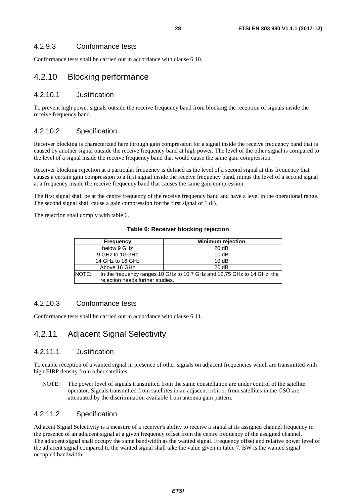<span id="page-27-0"></span>Conformance tests shall be carried out in accordance with clause 6.10.

# 4.2.10 Blocking performance

### 4.2.10.1 Justification

To prevent high power signals outside the receive frequency band from blocking the reception of signals inside the receive frequency band.

# 4.2.10.2 Specification

Receiver blocking is characterized here through gain compression for a signal inside the receive frequency band that is caused by another signal outside the receive frequency band at high power. The level of the other signal is compared to the level of a signal inside the receive frequency band that would cause the same gain compression.

Receiver blocking rejection at a particular frequency is defined as the level of a second signal at this frequency that causes a certain gain compression to a first signal inside the receive frequency band, minus the level of a second signal at a frequency inside the receive frequency band that causes the same gain compression.

The first signal shall be at the centre frequency of the receive frequency band and have a level in the operational range. The second signal shall cause a gain compression for the first signal of 1 dB.

The rejection shall comply with table 6.

| <b>Frequency</b> | <b>Minimum rejection</b>                                                                                    |  |  |
|------------------|-------------------------------------------------------------------------------------------------------------|--|--|
| below 9 GHz      | 20dB                                                                                                        |  |  |
| 9 GHz to 10 GHz  | 10dB                                                                                                        |  |  |
| 14 GHz to 16 GHz | 10dB                                                                                                        |  |  |
| Above 16 GHz     | 20 dB                                                                                                       |  |  |
| NOTE:            | In the frequency ranges 10 GHz to 10,7 GHz and 12,75 GHz to 14 GHz, the<br>rejection needs further studies. |  |  |

**Table 6: Receiver blocking rejection** 

# 4.2.10.3 Conformance tests

Conformance tests shall be carried out in accordance with clause 6.11.

# 4.2.11 Adjacent Signal Selectivity

### 4.2.11.1 Justification

To enable reception of a wanted signal in presence of other signals on adjacent frequencies which are transmitted with high EIRP density from other satellites.

NOTE: The power level of signals transmitted from the same constellation are under control of the satellite operator. Signals transmitted from satellites in an adjacent orbit or from satellites in the GSO are attenuated by the discrimination available from antenna gain pattern.

# 4.2.11.2 Specification

Adjacent Signal Selectivity is a measure of a receiver's ability to receive a signal at its assigned channel frequency in the presence of an adjacent signal at a given frequency offset from the centre frequency of the assigned channel. The adjacent signal shall occupy the same bandwidth as the wanted signal. Frequency offset and relative power level of the adjacent signal compared to the wanted signal shall take the value given in table 7. BW is the wanted signal occupied bandwidth.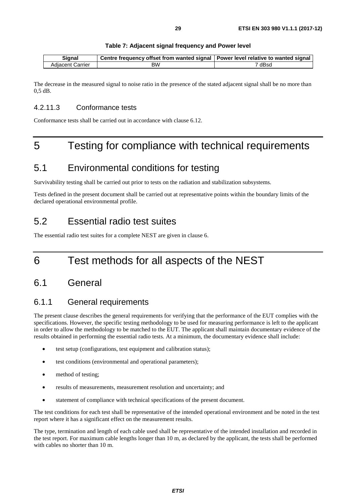| Table 7: Adjacent signal frequency and Power level |
|----------------------------------------------------|
|                                                    |

<span id="page-28-0"></span>

| Sianal           | <b>Centre frequency offset from wanted signal   Power level relative to wanted signal  </b> |        |
|------------------|---------------------------------------------------------------------------------------------|--------|
| Adiacent Carrier | ВW                                                                                          | dBsc ` |

The decrease in the measured signal to noise ratio in the presence of the stated adjacent signal shall be no more than 0,5 dB.

## 4.2.11.3 Conformance tests

Conformance tests shall be carried out in accordance with clause 6.12.

# 5 Testing for compliance with technical requirements

# 5.1 Environmental conditions for testing

Survivability testing shall be carried out prior to tests on the radiation and stabilization subsystems.

Tests defined in the present document shall be carried out at representative points within the boundary limits of the declared operational environmental profile.

# 5.2 Essential radio test suites

The essential radio test suites for a complete NEST are given in clause 6.

# 6 Test methods for all aspects of the NEST

# 6.1 General

# 6.1.1 General requirements

The present clause describes the general requirements for verifying that the performance of the EUT complies with the specifications. However, the specific testing methodology to be used for measuring performance is left to the applicant in order to allow the methodology to be matched to the EUT. The applicant shall maintain documentary evidence of the results obtained in performing the essential radio tests. At a minimum, the documentary evidence shall include:

- test setup (configurations, test equipment and calibration status);
- test conditions (environmental and operational parameters);
- method of testing;
- results of measurements, measurement resolution and uncertainty; and
- statement of compliance with technical specifications of the present document.

The test conditions for each test shall be representative of the intended operational environment and be noted in the test report where it has a significant effect on the measurement results.

The type, termination and length of each cable used shall be representative of the intended installation and recorded in the test report. For maximum cable lengths longer than 10 m, as declared by the applicant, the tests shall be performed with cables no shorter than 10 m.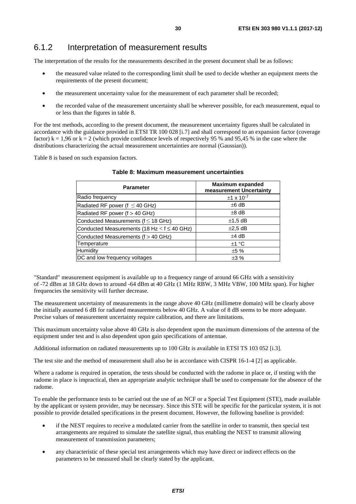# <span id="page-29-0"></span>6.1.2 Interpretation of measurement results

The interpretation of the results for the measurements described in the present document shall be as follows:

- the measured value related to the corresponding limit shall be used to decide whether an equipment meets the requirements of the present document;
- the measurement uncertainty value for the measurement of each parameter shall be recorded;
- the recorded value of the measurement uncertainty shall be wherever possible, for each measurement, equal to or less than the figures in table 8.

For the test methods, according to the present document, the measurement uncertainty figures shall be calculated in accordance with the guidance provided in ETSI TR 100 028 [\[i.7](#page-10-0)] and shall correspond to an expansion factor (coverage factor)  $k = 1,96$  or  $k = 2$  (which provide confidence levels of respectively 95 % and 95,45 % in the case where the distributions characterizing the actual measurement uncertainties are normal (Gaussian)).

Table 8 is based on such expansion factors.

| <b>Parameter</b>                                   | <b>Maximum expanded</b><br>measurement Uncertainty |
|----------------------------------------------------|----------------------------------------------------|
| Radio frequency                                    | $±1 \times 10^{-7}$                                |
| Radiated RF power (f $\leq$ 40 GHz)                | $±6$ dB                                            |
| Radiated RF power ( $f > 40$ GHz)                  | $±8$ dB                                            |
| Conducted Measurements ( $f \leq 18$ GHz)          | $\pm$ 1,5 dB                                       |
| Conducted Measurements (18 Hz $<$ f $\leq$ 40 GHz) | $\pm 2.5$ dB                                       |
| Conducted Measurements ( $f > 40$ GHz)             | $±4$ dB                                            |
| Temperature                                        | ±1 °C                                              |
| Humidity                                           | ±5%                                                |
| DC and low frequency voltages                      | ±3%                                                |

#### **Table 8: Maximum measurement uncertainties**

"Standard" measurement equipment is available up to a frequency range of around 66 GHz with a sensitivity of -72 dBm at 18 GHz down to around -64 dBm at 40 GHz (1 MHz RBW, 3 MHz VBW, 100 MHz span). For higher frequencies the sensitivity will further decrease.

The measurement uncertainty of measurements in the range above 40 GHz (millimetre domain) will be clearly above the initially assumed 6 dB for radiated measurements below 40 GHz. A value of 8 dB seems to be more adequate. Precise values of measurement uncertainty require calibration, and there are limitations.

This maximum uncertainty value above 40 GHz is also dependent upon the maximum dimensions of the antenna of the equipment under test and is also dependent upon gain specifications of antennae.

Additional information on radiated measurements up to 100 GHz is available in ETSI TS 103 052 [\[i.3\]](#page-9-0).

The test site and the method of measurement shall also be in accordance with CISPR 16-1-4 [\[2](#page-9-0)] as applicable.

Where a radome is required in operation, the tests should be conducted with the radome in place or, if testing with the radome in place is impractical, then an appropriate analytic technique shall be used to compensate for the absence of the radome.

To enable the performance tests to be carried out the use of an NCF or a Special Test Equipment (STE), made available by the applicant or system provider, may be necessary. Since this STE will be specific for the particular system, it is not possible to provide detailed specifications in the present document. However, the following baseline is provided:

- if the NEST requires to receive a modulated carrier from the satellite in order to transmit, then special test arrangements are required to simulate the satellite signal, thus enabling the NEST to transmit allowing measurement of transmission parameters;
- any characteristic of these special test arrangements which may have direct or indirect effects on the parameters to be measured shall be clearly stated by the applicant.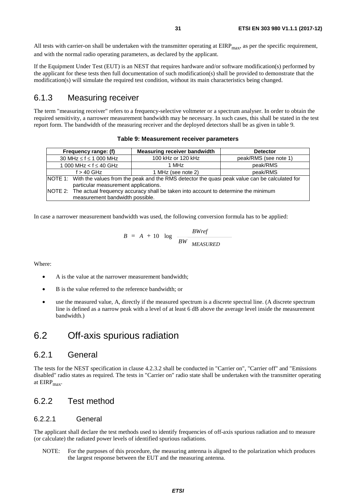<span id="page-30-0"></span>All tests with carrier-on shall be undertaken with the transmitter operating at  $EIRP<sub>max</sub>$ , as per the specific requirement, and with the normal radio operating parameters, as declared by the applicant.

If the Equipment Under Test (EUT) is an NEST that requires hardware and/or software modification(s) performed by the applicant for these tests then full documentation of such modification(s) shall be provided to demonstrate that the modification(s) will simulate the required test condition, without its main characteristics being changed.

# 6.1.3 Measuring receiver

The term "measuring receiver" refers to a frequency-selective voltmeter or a spectrum analyser. In order to obtain the required sensitivity, a narrower measurement bandwidth may be necessary. In such cases, this shall be stated in the test report form. The bandwidth of the measuring receiver and the deployed detectors shall be as given in table 9.

#### **Table 9: Measurement receiver parameters**

| Frequency range: (f)                                                                                  | Measuring receiver bandwidth | <b>Detector</b>       |
|-------------------------------------------------------------------------------------------------------|------------------------------|-----------------------|
| 30 MHz $\leq$ f $\leq$ 1 000 MHz                                                                      | 100 kHz or 120 kHz           | peak/RMS (see note 1) |
| 1 000 MHz < $f \leq 40$ GHz                                                                           | 1 MHz                        | peak/RMS              |
| $f > 40$ GHz                                                                                          | 1 MHz (see note 2)           | peak/RMS              |
| NOTE 1: With the values from the peak and the RMS detector the quasi peak value can be calculated for |                              |                       |
| particular measurement applications.                                                                  |                              |                       |
| NOTE 2: The actual frequency accuracy shall be taken into account to determine the minimum            |                              |                       |
| measurement bandwidth possible.                                                                       |                              |                       |

In case a narrower measurement bandwidth was used, the following conversion formula has to be applied:

$$
B = A + 10 \log \frac{BWref}{BW \text{ MEASURED}}
$$

Where:

- A is the value at the narrower measurement bandwidth;
- B is the value referred to the reference bandwidth; or
- use the measured value, A, directly if the measured spectrum is a discrete spectral line. (A discrete spectrum line is defined as a narrow peak with a level of at least 6 dB above the average level inside the measurement bandwidth.)

# 6.2 Off-axis spurious radiation

### 6.2.1 General

The tests for the NEST specification in clause 4.2.3.2 shall be conducted in "Carrier on", "Carrier off" and "Emissions disabled" radio states as required. The tests in "Carrier on" radio state shall be undertaken with the transmitter operating at  $EIRP<sub>max</sub>$ .

# 6.2.2 Test method

### 6.2.2.1 General

The applicant shall declare the test methods used to identify frequencies of off-axis spurious radiation and to measure (or calculate) the radiated power levels of identified spurious radiations.

NOTE: For the purposes of this procedure, the measuring antenna is aligned to the polarization which produces the largest response between the EUT and the measuring antenna.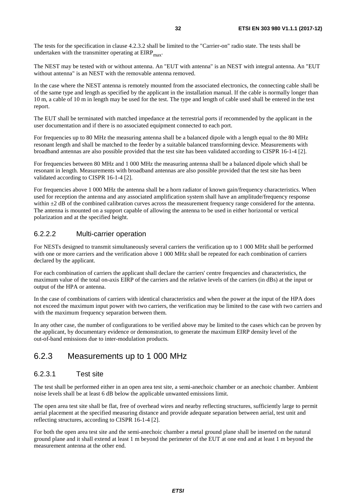<span id="page-31-0"></span>The tests for the specification in clause 4.2.3.2 shall be limited to the "Carrier-on" radio state. The tests shall be undertaken with the transmitter operating at  $EIRP<sub>max</sub>$ .

The NEST may be tested with or without antenna. An "EUT with antenna" is an NEST with integral antenna. An "EUT without antenna" is an NEST with the removable antenna removed.

In the case where the NEST antenna is remotely mounted from the associated electronics, the connecting cable shall be of the same type and length as specified by the applicant in the installation manual. If the cable is normally longer than 10 m, a cable of 10 m in length may be used for the test. The type and length of cable used shall be entered in the test report.

The EUT shall be terminated with matched impedance at the terrestrial ports if recommended by the applicant in the user documentation and if there is no associated equipment connected to each port.

For frequencies up to 80 MHz the measuring antenna shall be a balanced dipole with a length equal to the 80 MHz resonant length and shall be matched to the feeder by a suitable balanced transforming device. Measurements with broadband antennas are also possible provided that the test site has been validated according to CISPR 16-1-4 [[2\]](#page-9-0).

For frequencies between 80 MHz and 1 000 MHz the measuring antenna shall be a balanced dipole which shall be resonant in length. Measurements with broadband antennas are also possible provided that the test site has been validated according to CISPR 16-1-4 [[2\]](#page-9-0).

For frequencies above 1 000 MHz the antenna shall be a horn radiator of known gain/frequency characteristics. When used for reception the antenna and any associated amplification system shall have an amplitude/frequency response within  $\pm 2$  dB of the combined calibration curves across the measurement frequency range considered for the antenna. The antenna is mounted on a support capable of allowing the antenna to be used in either horizontal or vertical polarization and at the specified height.

### 6.2.2.2 Multi-carrier operation

For NESTs designed to transmit simultaneously several carriers the verification up to 1 000 MHz shall be performed with one or more carriers and the verification above 1 000 MHz shall be repeated for each combination of carriers declared by the applicant.

For each combination of carriers the applicant shall declare the carriers' centre frequencies and characteristics, the maximum value of the total on-axis EIRP of the carriers and the relative levels of the carriers (in dBs) at the input or output of the HPA or antenna.

In the case of combinations of carriers with identical characteristics and when the power at the input of the HPA does not exceed the maximum input power with two carriers, the verification may be limited to the case with two carriers and with the maximum frequency separation between them.

In any other case, the number of configurations to be verified above may be limited to the cases which can be proven by the applicant, by documentary evidence or demonstration, to generate the maximum EIRP density level of the out-of-band emissions due to inter-modulation products.

# 6.2.3 Measurements up to 1 000 MHz

### 6.2.3.1 Test site

The test shall be performed either in an open area test site, a semi-anechoic chamber or an anechoic chamber. Ambient noise levels shall be at least 6 dB below the applicable unwanted emissions limit.

The open area test site shall be flat, free of overhead wires and nearby reflecting structures, sufficiently large to permit aerial placement at the specified measuring distance and provide adequate separation between aerial, test unit and reflecting structures, according to CISPR 16-1-4 [\[2](#page-9-0)].

For both the open area test site and the semi-anechoic chamber a metal ground plane shall be inserted on the natural ground plane and it shall extend at least 1 m beyond the perimeter of the EUT at one end and at least 1 m beyond the measurement antenna at the other end.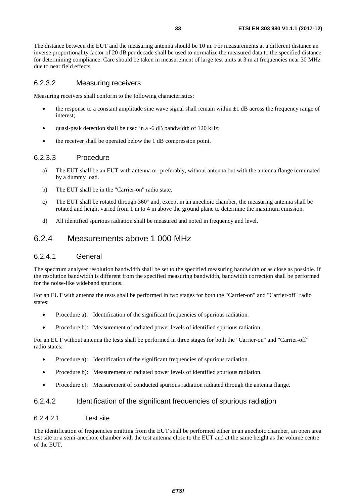<span id="page-32-0"></span>The distance between the EUT and the measuring antenna should be 10 m. For measurements at a different distance an inverse proportionality factor of 20 dB per decade shall be used to normalize the measured data to the specified distance for determining compliance. Care should be taken in measurement of large test units at 3 m at frequencies near 30 MHz due to near field effects.

### 6.2.3.2 Measuring receivers

Measuring receivers shall conform to the following characteristics:

- the response to a constant amplitude sine wave signal shall remain within  $\pm 1$  dB across the frequency range of interest;
- quasi-peak detection shall be used in a -6 dB bandwidth of 120 kHz;
- the receiver shall be operated below the 1 dB compression point.

#### 6.2.3.3 Procedure

- a) The EUT shall be an EUT with antenna or, preferably, without antenna but with the antenna flange terminated by a dummy load.
- b) The EUT shall be in the "Carrier-on" radio state.
- c) The EUT shall be rotated through 360° and, except in an anechoic chamber, the measuring antenna shall be rotated and height varied from 1 m to 4 m above the ground plane to determine the maximum emission.
- d) All identified spurious radiation shall be measured and noted in frequency and level.

# 6.2.4 Measurements above 1 000 MHz

### 6.2.4.1 General

The spectrum analyser resolution bandwidth shall be set to the specified measuring bandwidth or as close as possible. If the resolution bandwidth is different from the specified measuring bandwidth, bandwidth correction shall be performed for the noise-like wideband spurious.

For an EUT with antenna the tests shall be performed in two stages for both the "Carrier-on" and "Carrier-off" radio states:

- Procedure a): Identification of the significant frequencies of spurious radiation.
- Procedure b): Measurement of radiated power levels of identified spurious radiation.

For an EUT without antenna the tests shall be performed in three stages for both the "Carrier-on" and "Carrier-off" radio states:

- Procedure a): Identification of the significant frequencies of spurious radiation.
- Procedure b): Measurement of radiated power levels of identified spurious radiation.
- Procedure c): Measurement of conducted spurious radiation radiated through the antenna flange.

### 6.2.4.2 Identification of the significant frequencies of spurious radiation

#### 6.2.4.2.1 Test site

The identification of frequencies emitting from the EUT shall be performed either in an anechoic chamber, an open area test site or a semi-anechoic chamber with the test antenna close to the EUT and at the same height as the volume centre of the EUT.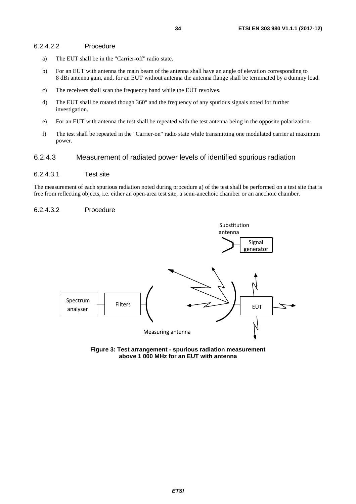#### <span id="page-33-0"></span>6.2.4.2.2 Procedure

- a) The EUT shall be in the "Carrier-off" radio state.
- b) For an EUT with antenna the main beam of the antenna shall have an angle of elevation corresponding to 8 dBi antenna gain, and, for an EUT without antenna the antenna flange shall be terminated by a dummy load.
- c) The receivers shall scan the frequency band while the EUT revolves.
- d) The EUT shall be rotated though 360° and the frequency of any spurious signals noted for further investigation.
- e) For an EUT with antenna the test shall be repeated with the test antenna being in the opposite polarization.
- f) The test shall be repeated in the "Carrier-on" radio state while transmitting one modulated carrier at maximum power.

### 6.2.4.3 Measurement of radiated power levels of identified spurious radiation

#### 6.2.4.3.1 Test site

The measurement of each spurious radiation noted during procedure a) of the test shall be performed on a test site that is free from reflecting objects, i.e. either an open-area test site, a semi-anechoic chamber or an anechoic chamber.

#### 6.2.4.3.2 Procedure



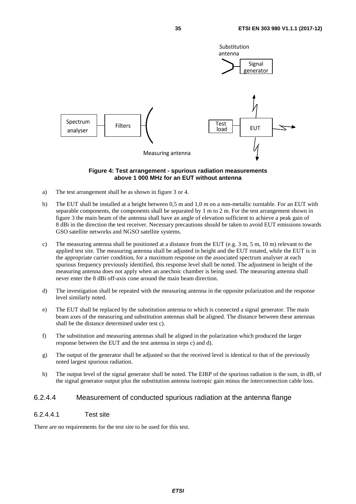<span id="page-34-0"></span>

#### **Figure 4: Test arrangement - spurious radiation measurements above 1 000 MHz for an EUT without antenna**

- a) The test arrangement shall be as shown in figure 3 or 4.
- b) The EUT shall be installed at a height between 0,5 m and 1,0 m on a non-metallic turntable. For an EUT with separable components, the components shall be separated by 1 m to 2 m. For the test arrangement shown in figure 3 the main beam of the antenna shall have an angle of elevation sufficient to achieve a peak gain of 8 dBi in the direction the test receiver. Necessary precautions should be taken to avoid EUT emissions towards GSO satellite networks and NGSO satellite systems.
- c) The measuring antenna shall be positioned at a distance from the EUT (e.g. 3 m, 5 m, 10 m) relevant to the applied test site. The measuring antenna shall be adjusted in height and the EUT rotated, while the EUT is in the appropriate carrier condition, for a maximum response on the associated spectrum analyser at each spurious frequency previously identified, this response level shall be noted. The adjustment in height of the measuring antenna does not apply when an anechoic chamber is being used. The measuring antenna shall never enter the 8 dBi off-axis cone around the main beam direction.
- d) The investigation shall be repeated with the measuring antenna in the opposite polarization and the response level similarly noted.
- e) The EUT shall be replaced by the substitution antenna to which is connected a signal generator. The main beam axes of the measuring and substitution antennas shall be aligned. The distance between these antennas shall be the distance determined under test c).
- f) The substitution and measuring antennas shall be aligned in the polarization which produced the larger response between the EUT and the test antenna in steps c) and d).
- g) The output of the generator shall be adjusted so that the received level is identical to that of the previously noted largest spurious radiation.
- h) The output level of the signal generator shall be noted. The EIRP of the spurious radiation is the sum, in dB, of the signal generator output plus the substitution antenna isotropic gain minus the interconnection cable loss.

### 6.2.4.4 Measurement of conducted spurious radiation at the antenna flange

### 6.2.4.4.1 Test site

There are no requirements for the test site to be used for this test.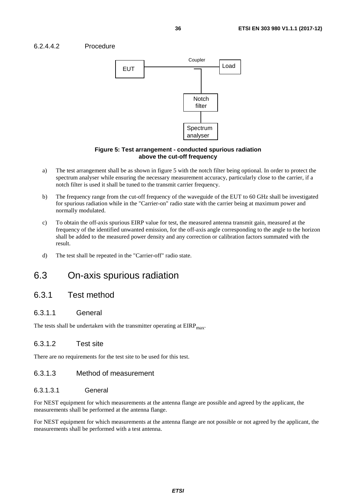### <span id="page-35-0"></span>6.2.4.4.2 Procedure



#### **Figure 5: Test arrangement - conducted spurious radiation above the cut-off frequency**

- a) The test arrangement shall be as shown in figure 5 with the notch filter being optional. In order to protect the spectrum analyser while ensuring the necessary measurement accuracy, particularly close to the carrier, if a notch filter is used it shall be tuned to the transmit carrier frequency.
- b) The frequency range from the cut-off frequency of the waveguide of the EUT to 60 GHz shall be investigated for spurious radiation while in the "Carrier-on" radio state with the carrier being at maximum power and normally modulated.
- c) To obtain the off-axis spurious EIRP value for test, the measured antenna transmit gain, measured at the frequency of the identified unwanted emission, for the off-axis angle corresponding to the angle to the horizon shall be added to the measured power density and any correction or calibration factors summated with the result.
- d) The test shall be repeated in the "Carrier-off" radio state.

# 6.3 On-axis spurious radiation

# 6.3.1 Test method

### 6.3.1.1 General

The tests shall be undertaken with the transmitter operating at  $EIRP<sub>max</sub>$ .

### 6.3.1.2 Test site

There are no requirements for the test site to be used for this test.

### 6.3.1.3 Method of measurement

### 6.3.1.3.1 General

For NEST equipment for which measurements at the antenna flange are possible and agreed by the applicant, the measurements shall be performed at the antenna flange.

For NEST equipment for which measurements at the antenna flange are not possible or not agreed by the applicant, the measurements shall be performed with a test antenna.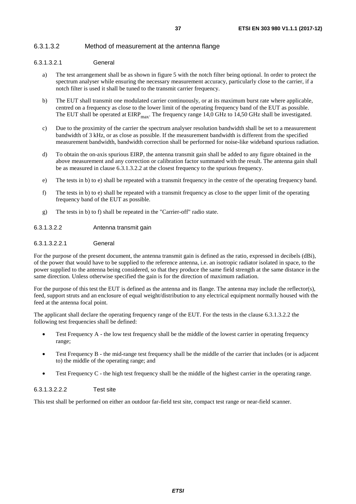### <span id="page-36-0"></span>6.3.1.3.2 Method of measurement at the antenna flange

#### 6.3.1.3.2.1 General

- a) The test arrangement shall be as shown in figure 5 with the notch filter being optional. In order to protect the spectrum analyser while ensuring the necessary measurement accuracy, particularly close to the carrier, if a notch filter is used it shall be tuned to the transmit carrier frequency.
- b) The EUT shall transmit one modulated carrier continuously, or at its maximum burst rate where applicable, centred on a frequency as close to the lower limit of the operating frequency band of the EUT as possible. The EUT shall be operated at  $EIRP<sub>max</sub>$ . The frequency range 14,0 GHz to 14,50 GHz shall be investigated.
- c) Due to the proximity of the carrier the spectrum analyser resolution bandwidth shall be set to a measurement bandwidth of 3 kHz, or as close as possible. If the measurement bandwidth is different from the specified measurement bandwidth, bandwidth correction shall be performed for noise-like wideband spurious radiation.
- d) To obtain the on-axis spurious EIRP, the antenna transmit gain shall be added to any figure obtained in the above measurement and any correction or calibration factor summated with the result. The antenna gain shall be as measured in clause 6.3.1.3.2.2 at the closest frequency to the spurious frequency.
- e) The tests in b) to e) shall be repeated with a transmit frequency in the centre of the operating frequency band.
- f) The tests in b) to e) shall be repeated with a transmit frequency as close to the upper limit of the operating frequency band of the EUT as possible.
- g) The tests in b) to f) shall be repeated in the "Carrier-off" radio state.

#### 6.3.1.3.2.2 Antenna transmit gain

#### 6.3.1.3.2.2.1 General

For the purpose of the present document, the antenna transmit gain is defined as the ratio, expressed in decibels (dBi), of the power that would have to be supplied to the reference antenna, i.e. an isotropic radiator isolated in space, to the power supplied to the antenna being considered, so that they produce the same field strength at the same distance in the same direction. Unless otherwise specified the gain is for the direction of maximum radiation.

For the purpose of this test the EUT is defined as the antenna and its flange. The antenna may include the reflector(s), feed, support struts and an enclosure of equal weight/distribution to any electrical equipment normally housed with the feed at the antenna focal point.

The applicant shall declare the operating frequency range of the EUT. For the tests in the clause 6.3.1.3.2.2 the following test frequencies shall be defined:

- Test Frequency A the low test frequency shall be the middle of the lowest carrier in operating frequency range;
- Test Frequency B the mid-range test frequency shall be the middle of the carrier that includes (or is adjacent to) the middle of the operating range; and
- Test Frequency C the high test frequency shall be the middle of the highest carrier in the operating range.

#### 6.3.1.3.2.2.2 Test site

This test shall be performed on either an outdoor far-field test site, compact test range or near-field scanner.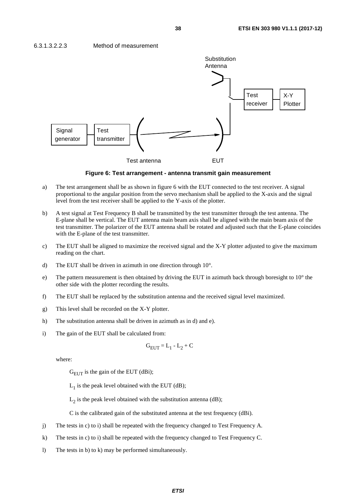

**Figure 6: Test arrangement - antenna transmit gain measurement** 

- a) The test arrangement shall be as shown in figure 6 with the EUT connected to the test receiver. A signal proportional to the angular position from the servo mechanism shall be applied to the X-axis and the signal level from the test receiver shall be applied to the Y-axis of the plotter.
- b) A test signal at Test Frequency B shall be transmitted by the test transmitter through the test antenna. The E-plane shall be vertical. The EUT antenna main beam axis shall be aligned with the main beam axis of the test transmitter. The polarizer of the EUT antenna shall be rotated and adjusted such that the E-plane coincides with the E-plane of the test transmitter.
- c) The EUT shall be aligned to maximize the received signal and the X-Y plotter adjusted to give the maximum reading on the chart.
- d) The EUT shall be driven in azimuth in one direction through 10°.
- e) The pattern measurement is then obtained by driving the EUT in azimuth back through boresight to 10° the other side with the plotter recording the results.
- f) The EUT shall be replaced by the substitution antenna and the received signal level maximized.
- g) This level shall be recorded on the X-Y plotter.
- h) The substitution antenna shall be driven in azimuth as in d) and e).
- i) The gain of the EUT shall be calculated from:

$$
G_{EUT} = L_1 - L_2 + C
$$

where:

 $G<sub>EUT</sub>$  is the gain of the EUT (dBi);

 $L_1$  is the peak level obtained with the EUT (dB);

 $L_2$  is the peak level obtained with the substitution antenna (dB);

C is the calibrated gain of the substituted antenna at the test frequency (dBi).

- j) The tests in c) to i) shall be repeated with the frequency changed to Test Frequency A.
- k) The tests in c) to i) shall be repeated with the frequency changed to Test Frequency C.
- l) The tests in b) to k) may be performed simultaneously.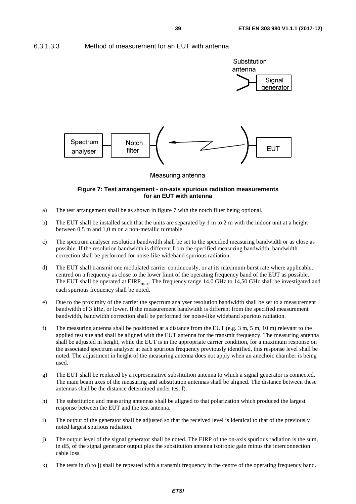<span id="page-38-0"></span>6.3.1.3.3 Method of measurement for an EUT with antenna



#### **Figure 7: Test arrangement - on-axis spurious radiation measurements for an EUT with antenna**

- a) The test arrangement shall be as shown in figure 7 with the notch filter being optional.
- b) The EUT shall be installed such that the units are separated by 1 m to 2 m with the indoor unit at a height between 0,5 m and 1,0 m on a non-metallic turntable.
- c) The spectrum analyser resolution bandwidth shall be set to the specified measuring bandwidth or as close as possible. If the resolution bandwidth is different from the specified measuring bandwidth, bandwidth correction shall be performed for noise-like wideband spurious radiation.
- d) The EUT shall transmit one modulated carrier continuously, or at its maximum burst rate where applicable, centred on a frequency as close to the lower limit of the operating frequency band of the EUT as possible. The EUT shall be operated at  $EIRP<sub>max</sub>$ . The frequency range 14,0 GHz to 14,50 GHz shall be investigated and each spurious frequency shall be noted.
- e) Due to the proximity of the carrier the spectrum analyser resolution bandwidth shall be set to a measurement bandwidth of 3 kHz, or lower. If the measurement bandwidth is different from the specified measurement bandwidth, bandwidth correction shall be performed for noise-like wideband spurious radiation.
- f) The measuring antenna shall be positioned at a distance from the EUT (e.g. 3 m, 5 m, 10 m) relevant to the applied test site and shall be aligned with the EUT antenna for the transmit frequency. The measuring antenna shall be adjusted in height, while the EUT is in the appropriate carrier condition, for a maximum response on the associated spectrum analyser at each spurious frequency previously identified, this response level shall be noted. The adjustment in height of the measuring antenna does not apply when an anechoic chamber is being used.
- g) The EUT shall be replaced by a representative substitution antenna to which a signal generator is connected. The main beam axes of the measuring and substitution antennas shall be aligned. The distance between these antennas shall be the distance determined under test f).
- h) The substitution and measuring antennas shall be aligned to that polarization which produced the largest response between the EUT and the test antenna.
- i) The output of the generator shall be adjusted so that the received level is identical to that of the previously noted largest spurious radiation.
- j) The output level of the signal generator shall be noted. The EIRP of the on-axis spurious radiation is the sum, in dB, of the signal generator output plus the substitution antenna isotropic gain minus the interconnection cable loss.
- k) The tests in d) to j) shall be repeated with a transmit frequency in the centre of the operating frequency band.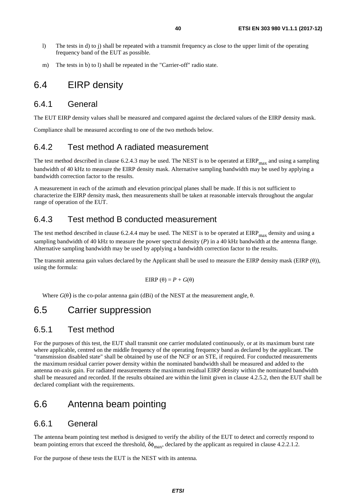- <span id="page-39-0"></span>l) The tests in d) to j) shall be repeated with a transmit frequency as close to the upper limit of the operating frequency band of the EUT as possible.
- m) The tests in b) to l) shall be repeated in the "Carrier-off" radio state.

# 6.4 EIRP density

# 6.4.1 General

The EUT EIRP density values shall be measured and compared against the declared values of the EIRP density mask.

Compliance shall be measured according to one of the two methods below.

# 6.4.2 Test method A radiated measurement

The test method described in clause 6.2.4.3 may be used. The NEST is to be operated at  $EIRP<sub>max</sub>$  and using a sampling bandwidth of 40 kHz to measure the EIRP density mask. Alternative sampling bandwidth may be used by applying a bandwidth correction factor to the results.

A measurement in each of the azimuth and elevation principal planes shall be made. If this is not sufficient to characterize the EIRP density mask, then measurements shall be taken at reasonable intervals throughout the angular range of operation of the EUT.

# 6.4.3 Test method B conducted measurement

The test method described in clause 6.2.4.4 may be used. The NEST is to be operated at  $EIRP<sub>max</sub>$  density and using a sampling bandwidth of 40 kHz to measure the power spectral density (*P*) in a 40 kHz bandwidth at the antenna flange. Alternative sampling bandwidth may be used by applying a bandwidth correction factor to the results.

The transmit antenna gain values declared by the Applicant shall be used to measure the EIRP density mask (EIRP (θ)), using the formula:

$$
EIRP(\theta) = P + G(\theta)
$$

Where  $G(\theta)$  is the co-polar antenna gain (dBi) of the NEST at the measurement angle,  $\theta$ .

# 6.5 Carrier suppression

# 6.5.1 Test method

For the purposes of this test, the EUT shall transmit one carrier modulated continuously, or at its maximum burst rate where applicable, centred on the middle frequency of the operating frequency band as declared by the applicant. The "transmission disabled state" shall be obtained by use of the NCF or an STE, if required. For conducted measurements the maximum residual carrier power density within the nominated bandwidth shall be measured and added to the antenna on-axis gain. For radiated measurements the maximum residual EIRP density within the nominated bandwidth shall be measured and recorded. If the results obtained are within the limit given in clause 4.2.5.2, then the EUT shall be declared compliant with the requirements.

# 6.6 Antenna beam pointing

# 6.6.1 General

The antenna beam pointing test method is designed to verify the ability of the EUT to detect and correctly respond to beam pointing errors that exceed the threshold,  $\delta\phi_{\text{max}}$ , declared by the applicant as required in clause 4.2.2.1.2.

For the purpose of these tests the EUT is the NEST with its antenna.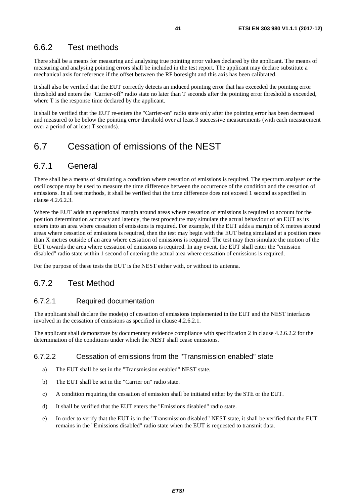# <span id="page-40-0"></span>6.6.2 Test methods

There shall be a means for measuring and analysing true pointing error values declared by the applicant. The means of measuring and analysing pointing errors shall be included in the test report. The applicant may declare substitute a mechanical axis for reference if the offset between the RF boresight and this axis has been calibrated.

It shall also be verified that the EUT correctly detects an induced pointing error that has exceeded the pointing error threshold and enters the "Carrier-off" radio state no later than T seconds after the pointing error threshold is exceeded, where T is the response time declared by the applicant.

It shall be verified that the EUT re-enters the "Carrier-on" radio state only after the pointing error has been decreased and measured to be below the pointing error threshold over at least 3 successive measurements (with each measurement over a period of at least T seconds).

# 6.7 Cessation of emissions of the NEST

# 6.7.1 General

There shall be a means of simulating a condition where cessation of emissions is required. The spectrum analyser or the oscilloscope may be used to measure the time difference between the occurrence of the condition and the cessation of emissions. In all test methods, it shall be verified that the time difference does not exceed 1 second as specified in clause 4.2.6.2.3.

Where the EUT adds an operational margin around areas where cessation of emissions is required to account for the position determination accuracy and latency, the test procedure may simulate the actual behaviour of an EUT as its enters into an area where cessation of emissions is required. For example, if the EUT adds a margin of X metres around areas where cessation of emissions is required, then the test may begin with the EUT being simulated at a position more than X metres outside of an area where cessation of emissions is required. The test may then simulate the motion of the EUT towards the area where cessation of emissions is required. In any event, the EUT shall enter the "emission disabled" radio state within 1 second of entering the actual area where cessation of emissions is required.

For the purpose of these tests the EUT is the NEST either with, or without its antenna.

# 6.7.2 Test Method

# 6.7.2.1 Required documentation

The applicant shall declare the mode(s) of cessation of emissions implemented in the EUT and the NEST interfaces involved in the cessation of emissions as specified in clause 4.2.6.2.1.

The applicant shall demonstrate by documentary evidence compliance with specification 2 in clause 4.2.6.2.2 for the determination of the conditions under which the NEST shall cease emissions.

## 6.7.2.2 Cessation of emissions from the "Transmission enabled" state

- a) The EUT shall be set in the "Transmission enabled" NEST state.
- b) The EUT shall be set in the "Carrier on" radio state.
- c) A condition requiring the cessation of emission shall be initiated either by the STE or the EUT.
- d) It shall be verified that the EUT enters the "Emissions disabled" radio state.
- e) In order to verify that the EUT is in the "Transmission disabled" NEST state, it shall be verified that the EUT remains in the "Emissions disabled" radio state when the EUT is requested to transmit data.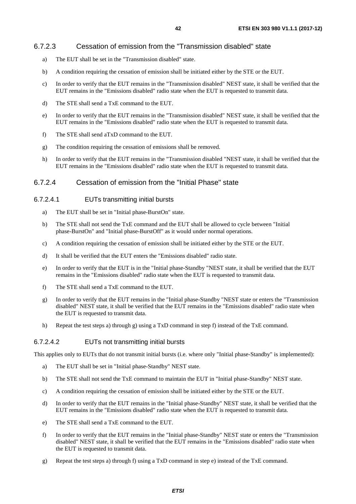# <span id="page-41-0"></span>6.7.2.3 Cessation of emission from the "Transmission disabled" state

- a) The EUT shall be set in the "Transmission disabled" state.
- b) A condition requiring the cessation of emission shall be initiated either by the STE or the EUT.
- c) In order to verify that the EUT remains in the "Transmission disabled" NEST state, it shall be verified that the EUT remains in the "Emissions disabled" radio state when the EUT is requested to transmit data.
- d) The STE shall send a TxE command to the EUT.
- e) In order to verify that the EUT remains in the "Transmission disabled" NEST state, it shall be verified that the EUT remains in the "Emissions disabled" radio state when the EUT is requested to transmit data.
- f) The STE shall send aTxD command to the EUT.
- g) The condition requiring the cessation of emissions shall be removed.
- h) In order to verify that the EUT remains in the "Transmission disabled "NEST state, it shall be verified that the EUT remains in the "Emissions disabled" radio state when the EUT is requested to transmit data.

# 6.7.2.4 Cessation of emission from the "Initial Phase" state

# 6.7.2.4.1 EUTs transmitting initial bursts

- a) The EUT shall be set in "Initial phase-BurstOn" state.
- b) The STE shall not send the TxE command and the EUT shall be allowed to cycle between "Initial phase-BurstOn" and "Initial phase-BurstOff" as it would under normal operations.
- c) A condition requiring the cessation of emission shall be initiated either by the STE or the EUT.
- d) It shall be verified that the EUT enters the "Emissions disabled" radio state.
- e) In order to verify that the EUT is in the "Initial phase-Standby "NEST state, it shall be verified that the EUT remains in the "Emissions disabled" radio state when the EUT is requested to transmit data.
- f) The STE shall send a TxE command to the EUT.
- g) In order to verify that the EUT remains in the "Initial phase-Standby "NEST state or enters the "Transmission disabled" NEST state, it shall be verified that the EUT remains in the "Emissions disabled" radio state when the EUT is requested to transmit data.
- h) Repeat the test steps a) through g) using a TxD command in step f) instead of the TxE command.

# 6.7.2.4.2 EUTs not transmitting initial bursts

This applies only to EUTs that do not transmit initial bursts (i.e. where only "Initial phase-Standby" is implemented):

- a) The EUT shall be set in "Initial phase-Standby" NEST state.
- b) The STE shall not send the TxE command to maintain the EUT in "Initial phase-Standby" NEST state.
- c) A condition requiring the cessation of emission shall be initiated either by the STE or the EUT.
- d) In order to verify that the EUT remains in the "Initial phase-Standby" NEST state, it shall be verified that the EUT remains in the "Emissions disabled" radio state when the EUT is requested to transmit data.
- e) The STE shall send a TxE command to the EUT.
- f) In order to verify that the EUT remains in the "Initial phase-Standby" NEST state or enters the "Transmission disabled" NEST state, it shall be verified that the EUT remains in the "Emissions disabled" radio state when the EUT is requested to transmit data.
- g) Repeat the test steps a) through f) using a TxD command in step e) instead of the TxE command.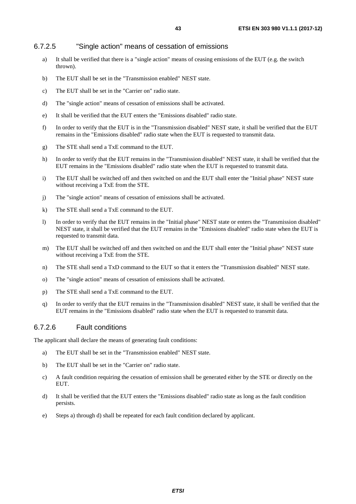### <span id="page-42-0"></span>6.7.2.5 "Single action" means of cessation of emissions

- a) It shall be verified that there is a "single action" means of ceasing emissions of the EUT (e.g. the switch thrown).
- b) The EUT shall be set in the "Transmission enabled" NEST state.
- c) The EUT shall be set in the "Carrier on" radio state.
- d) The "single action" means of cessation of emissions shall be activated.
- e) It shall be verified that the EUT enters the "Emissions disabled" radio state.
- f) In order to verify that the EUT is in the "Transmission disabled" NEST state, it shall be verified that the EUT remains in the "Emissions disabled" radio state when the EUT is requested to transmit data.
- g) The STE shall send a TxE command to the EUT.
- h) In order to verify that the EUT remains in the "Transmission disabled" NEST state, it shall be verified that the EUT remains in the "Emissions disabled" radio state when the EUT is requested to transmit data.
- i) The EUT shall be switched off and then switched on and the EUT shall enter the "Initial phase" NEST state without receiving a TxE from the STE.
- j) The "single action" means of cessation of emissions shall be activated.
- k) The STE shall send a TxE command to the EUT.
- l) In order to verify that the EUT remains in the "Initial phase" NEST state or enters the "Transmission disabled" NEST state, it shall be verified that the EUT remains in the "Emissions disabled" radio state when the EUT is requested to transmit data.
- m) The EUT shall be switched off and then switched on and the EUT shall enter the "Initial phase" NEST state without receiving a TxE from the STE.
- n) The STE shall send a TxD command to the EUT so that it enters the "Transmission disabled" NEST state.
- o) The "single action" means of cessation of emissions shall be activated.
- p) The STE shall send a TxE command to the EUT.
- q) In order to verify that the EUT remains in the "Transmission disabled" NEST state, it shall be verified that the EUT remains in the "Emissions disabled" radio state when the EUT is requested to transmit data.

### 6.7.2.6 Fault conditions

The applicant shall declare the means of generating fault conditions:

- a) The EUT shall be set in the "Transmission enabled" NEST state.
- b) The EUT shall be set in the "Carrier on" radio state.
- c) A fault condition requiring the cessation of emission shall be generated either by the STE or directly on the EUT.
- d) It shall be verified that the EUT enters the "Emissions disabled" radio state as long as the fault condition persists.
- e) Steps a) through d) shall be repeated for each fault condition declared by applicant.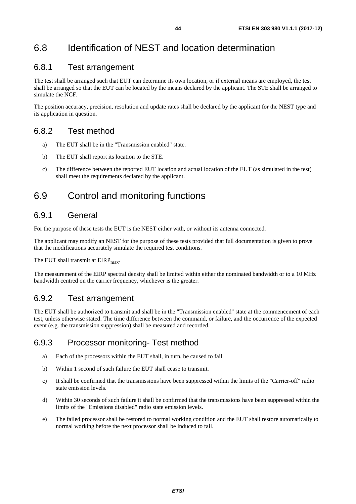# <span id="page-43-0"></span>6.8 Identification of NEST and location determination

# 6.8.1 Test arrangement

The test shall be arranged such that EUT can determine its own location, or if external means are employed, the test shall be arranged so that the EUT can be located by the means declared by the applicant. The STE shall be arranged to simulate the NCF.

The position accuracy, precision, resolution and update rates shall be declared by the applicant for the NEST type and its application in question.

# 6.8.2 Test method

- a) The EUT shall be in the "Transmission enabled" state.
- b) The EUT shall report its location to the STE.
- c) The difference between the reported EUT location and actual location of the EUT (as simulated in the test) shall meet the requirements declared by the applicant.

# 6.9 Control and monitoring functions

# 6.9.1 General

For the purpose of these tests the EUT is the NEST either with, or without its antenna connected.

The applicant may modify an NEST for the purpose of these tests provided that full documentation is given to prove that the modifications accurately simulate the required test conditions.

The EUT shall transmit at  $EIRP<sub>max</sub>$ .

The measurement of the EIRP spectral density shall be limited within either the nominated bandwidth or to a 10 MHz bandwidth centred on the carrier frequency, whichever is the greater.

# 6.9.2 Test arrangement

The EUT shall be authorized to transmit and shall be in the "Transmission enabled" state at the commencement of each test, unless otherwise stated. The time difference between the command, or failure, and the occurrence of the expected event (e.g. the transmission suppression) shall be measured and recorded.

# 6.9.3 Processor monitoring- Test method

- a) Each of the processors within the EUT shall, in turn, be caused to fail.
- b) Within 1 second of such failure the EUT shall cease to transmit.
- c) It shall be confirmed that the transmissions have been suppressed within the limits of the "Carrier-off" radio state emission levels.
- d) Within 30 seconds of such failure it shall be confirmed that the transmissions have been suppressed within the limits of the "Emissions disabled" radio state emission levels.
- e) The failed processor shall be restored to normal working condition and the EUT shall restore automatically to normal working before the next processor shall be induced to fail.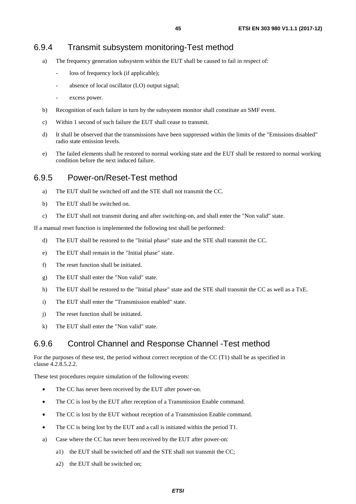- <span id="page-44-0"></span>a) The frequency generation subsystem within the EUT shall be caused to fail in respect of:
	- loss of frequency lock (if applicable);
	- absence of local oscillator (LO) output signal;
	- excess power.
- b) Recognition of each failure in turn by the subsystem monitor shall constitute an SMF event.
- c) Within 1 second of such failure the EUT shall cease to transmit.
- d) It shall be observed that the transmissions have been suppressed within the limits of the "Emissions disabled" radio state emission levels.
- e) The failed elements shall be restored to normal working state and the EUT shall be restored to normal working condition before the next induced failure.

# 6.9.5 Power-on/Reset-Test method

- a) The EUT shall be switched off and the STE shall not transmit the CC.
- b) The EUT shall be switched on.
- c) The EUT shall not transmit during and after switching-on, and shall enter the "Non valid" state.

If a manual reset function is implemented the following test shall be performed:

- d) The EUT shall be restored to the "Initial phase" state and the STE shall transmit the CC.
- e) The EUT shall remain in the "Initial phase" state.
- f) The reset function shall be initiated.
- g) The EUT shall enter the "Non valid" state.
- h) The EUT shall be restored to the "Initial phase" state and the STE shall transmit the CC as well as a TxE.
- i) The EUT shall enter the "Transmission enabled" state.
- j) The reset function shall be initiated.
- k) The EUT shall enter the "Non valid" state.

# 6.9.6 Control Channel and Response Channel -Test method

For the purposes of these test, the period without correct reception of the CC (T1) shall be as specified in clause 4.2.8.5.2.2.

These test procedures require simulation of the following events:

- The CC has never been received by the EUT after power-on.
- The CC is lost by the EUT after reception of a Transmission Enable command.
- The CC is lost by the EUT without reception of a Transmission Enable command.
- The CC is being lost by the EUT and a call is initiated within the period T1.
- a) Case where the CC has never been received by the EUT after power-on:
	- a1) the EUT shall be switched off and the STE shall not transmit the CC;
	- a2) the EUT shall be switched on;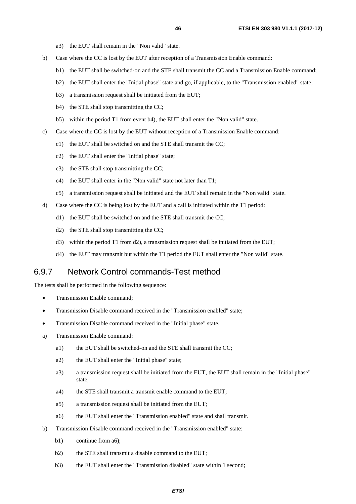- a3) the EUT shall remain in the "Non valid" state.
- <span id="page-45-0"></span>b) Case where the CC is lost by the EUT after reception of a Transmission Enable command:
	- b1) the EUT shall be switched-on and the STE shall transmit the CC and a Transmission Enable command;
	- b2) the EUT shall enter the "Initial phase" state and go, if applicable, to the "Transmission enabled" state;
	- b3) a transmission request shall be initiated from the EUT;
	- b4) the STE shall stop transmitting the CC;
	- b5) within the period T1 from event b4), the EUT shall enter the "Non valid" state.
- c) Case where the CC is lost by the EUT without reception of a Transmission Enable command:
	- c1) the EUT shall be switched on and the STE shall transmit the CC;
	- c2) the EUT shall enter the "Initial phase" state;
	- c3) the STE shall stop transmitting the CC;
	- c4) the EUT shall enter in the "Non valid" state not later than T1;
	- c5) a transmission request shall be initiated and the EUT shall remain in the "Non valid" state.
- d) Case where the CC is being lost by the EUT and a call is initiated within the T1 period:
	- d1) the EUT shall be switched on and the STE shall transmit the CC;
	- d2) the STE shall stop transmitting the CC;
	- d3) within the period T1 from d2), a transmission request shall be initiated from the EUT;
	- d4) the EUT may transmit but within the T1 period the EUT shall enter the "Non valid" state.

# 6.9.7 Network Control commands-Test method

The tests shall be performed in the following sequence:

- Transmission Enable command;
- Transmission Disable command received in the "Transmission enabled" state;
- Transmission Disable command received in the "Initial phase" state.
- a) Transmission Enable command:
	- a1) the EUT shall be switched-on and the STE shall transmit the CC;
	- a2) the EUT shall enter the "Initial phase" state;
	- a3) a transmission request shall be initiated from the EUT, the EUT shall remain in the "Initial phase" state;
	- a4) the STE shall transmit a transmit enable command to the EUT;
	- a5) a transmission request shall be initiated from the EUT;
	- a6) the EUT shall enter the "Transmission enabled" state and shall transmit.
- b) Transmission Disable command received in the "Transmission enabled" state:
	- b1) continue from a6):
	- b2) the STE shall transmit a disable command to the EUT;
	- b3) the EUT shall enter the "Transmission disabled" state within 1 second;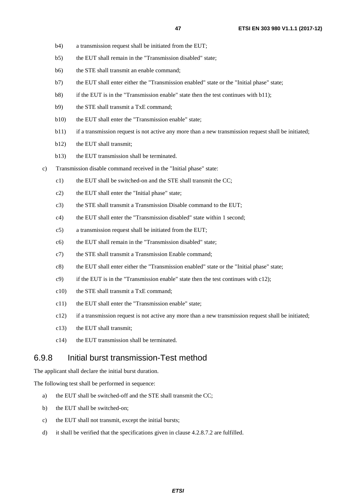- <span id="page-46-0"></span>b4) a transmission request shall be initiated from the EUT;
- b5) the EUT shall remain in the "Transmission disabled" state;
- b6) the STE shall transmit an enable command;
- b7) the EUT shall enter either the "Transmission enabled" state or the "Initial phase" state;
- b8) if the EUT is in the "Transmission enable" state then the test continues with b11);
- b9) the STE shall transmit a TxE command;
- b10) the EUT shall enter the "Transmission enable" state;
- b11) if a transmission request is not active any more than a new transmission request shall be initiated;
- b12) the EUT shall transmit;
- b13) the EUT transmission shall be terminated.
- c) Transmission disable command received in the "Initial phase" state:
	- c1) the EUT shall be switched-on and the STE shall transmit the CC;
	- c2) the EUT shall enter the "Initial phase" state;
	- c3) the STE shall transmit a Transmission Disable command to the EUT;
	- c4) the EUT shall enter the "Transmission disabled" state within 1 second;
	- c5) a transmission request shall be initiated from the EUT;
	- c6) the EUT shall remain in the "Transmission disabled" state;
	- c7) the STE shall transmit a Transmission Enable command;
	- c8) the EUT shall enter either the "Transmission enabled" state or the "Initial phase" state;
	- $c$ 9) if the EUT is in the "Transmission enable" state then the test continues with c12);
	- c10) the STE shall transmit a TxE command;
	- c11) the EUT shall enter the "Transmission enable" state;
	- c12) if a transmission request is not active any more than a new transmission request shall be initiated;
	- c13) the EUT shall transmit;
	- c14) the EUT transmission shall be terminated.

## 6.9.8 Initial burst transmission-Test method

The applicant shall declare the initial burst duration.

The following test shall be performed in sequence:

- a) the EUT shall be switched-off and the STE shall transmit the CC;
- b) the EUT shall be switched-on;
- c) the EUT shall not transmit, except the initial bursts;
- d) it shall be verified that the specifications given in clause 4.2.8.7.2 are fulfilled.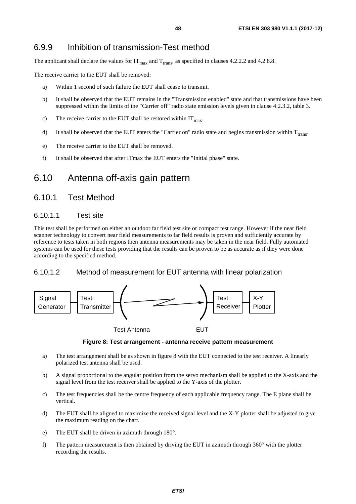# <span id="page-47-0"></span>6.9.9 Inhibition of transmission-Test method

The applicant shall declare the values for  $IT_{\text{max}}$  and  $T_{\text{trans}}$ , as specified in clauses 4.2.2.2 and 4.2.8.8.

The receive carrier to the EUT shall be removed:

- a) Within 1 second of such failure the EUT shall cease to transmit.
- b) It shall be observed that the EUT remains in the "Transmission enabled" state and that transmissions have been suppressed within the limits of the "Carrier off" radio state emission levels given in clause 4.2.3.2, table 3.
- c) The receive carrier to the EUT shall be restored within  $IT<sub>max</sub>$ .
- d) It shall be observed that the EUT enters the "Carrier on" radio state and begins transmission within  $T_{\text{trans}}$ .
- e) The receive carrier to the EUT shall be removed.
- f) It shall be observed that after ITmax the EUT enters the "Initial phase" state.

# 6.10 Antenna off-axis gain pattern

# 6.10.1 Test Method

### 6.10.1.1 Test site

This test shall be performed on either an outdoor far field test site or compact test range. However if the near field scanner technology to convert near field measurements to far field results is proven and sufficiently accurate by reference to tests taken in both regions then antenna measurements may be taken in the near field. Fully automated systems can be used for these tests providing that the results can be proven to be as accurate as if they were done according to the specified method.

### 6.10.1.2 Method of measurement for EUT antenna with linear polarization



**Figure 8: Test arrangement - antenna receive pattern measurement** 

- a) The test arrangement shall be as shown in figure 8 with the EUT connected to the test receiver. A linearly polarized test antenna shall be used.
- b) A signal proportional to the angular position from the servo mechanism shall be applied to the X-axis and the signal level from the test receiver shall be applied to the Y-axis of the plotter.
- c) The test frequencies shall be the centre frequency of each applicable frequency range. The E plane shall be vertical.
- d) The EUT shall be aligned to maximize the received signal level and the X-Y plotter shall be adjusted to give the maximum reading on the chart.
- e) The EUT shall be driven in azimuth through 180°.
- f) The pattern measurement is then obtained by driving the EUT in azimuth through 360° with the plotter recording the results.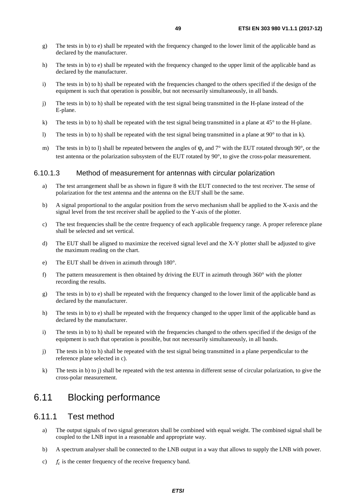- <span id="page-48-0"></span>g) The tests in b) to e) shall be repeated with the frequency changed to the lower limit of the applicable band as declared by the manufacturer.
- h) The tests in b) to e) shall be repeated with the frequency changed to the upper limit of the applicable band as declared by the manufacturer.
- i) The tests in b) to h) shall be repeated with the frequencies changed to the others specified if the design of the equipment is such that operation is possible, but not necessarily simultaneously, in all bands.
- j) The tests in b) to h) shall be repeated with the test signal being transmitted in the H-plane instead of the E-plane.
- k) The tests in b) to h) shall be repeated with the test signal being transmitted in a plane at  $45^{\circ}$  to the H-plane.
- l) The tests in b) to h) shall be repeated with the test signal being transmitted in a plane at  $90^\circ$  to that in k).
- m) The tests in b) to l) shall be repeated between the angles of  $φ$ , and  $7°$  with the EUT rotated through 90°, or the test antenna or the polarization subsystem of the EUT rotated by 90°, to give the cross-polar measurement.

#### 6.10.1.3 Method of measurement for antennas with circular polarization

- a) The test arrangement shall be as shown in figure 8 with the EUT connected to the test receiver. The sense of polarization for the test antenna and the antenna on the EUT shall be the same.
- b) A signal proportional to the angular position from the servo mechanism shall be applied to the X-axis and the signal level from the test receiver shall be applied to the Y-axis of the plotter.
- c) The test frequencies shall be the centre frequency of each applicable frequency range. A proper reference plane shall be selected and set vertical.
- d) The EUT shall be aligned to maximize the received signal level and the X-Y plotter shall be adjusted to give the maximum reading on the chart.
- e) The EUT shall be driven in azimuth through 180°.
- f) The pattern measurement is then obtained by driving the EUT in azimuth through 360° with the plotter recording the results.
- g) The tests in b) to e) shall be repeated with the frequency changed to the lower limit of the applicable band as declared by the manufacturer.
- h) The tests in b) to e) shall be repeated with the frequency changed to the upper limit of the applicable band as declared by the manufacturer.
- i) The tests in b) to h) shall be repeated with the frequencies changed to the others specified if the design of the equipment is such that operation is possible, but not necessarily simultaneously, in all bands.
- j) The tests in b) to h) shall be repeated with the test signal being transmitted in a plane perpendicular to the reference plane selected in c).
- k) The tests in b) to j) shall be repeated with the test antenna in different sense of circular polarization, to give the cross-polar measurement.

# 6.11 Blocking performance

# 6.11.1 Test method

- a) The output signals of two signal generators shall be combined with equal weight. The combined signal shall be coupled to the LNB input in a reasonable and appropriate way.
- b) A spectrum analyser shall be connected to the LNB output in a way that allows to supply the LNB with power.
- c)  $f_c$  is the center frequency of the receive frequency band.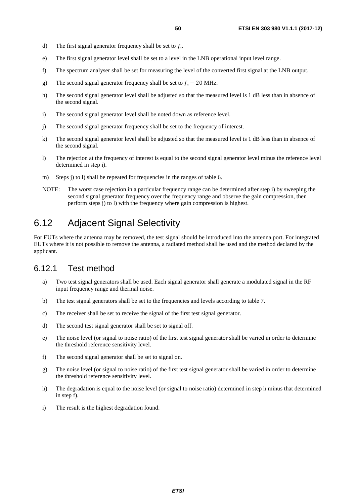- <span id="page-49-0"></span>d) The first signal generator frequency shall be set to  $f_c$ .
- e) The first signal generator level shall be set to a level in the LNB operational input level range.
- f) The spectrum analyser shall be set for measuring the level of the converted first signal at the LNB output.
- g) The second signal generator frequency shall be set to  $f_c 20$  MHz.
- h) The second signal generator level shall be adjusted so that the measured level is 1 dB less than in absence of the second signal.
- i) The second signal generator level shall be noted down as reference level.
- j) The second signal generator frequency shall be set to the frequency of interest.
- k) The second signal generator level shall be adjusted so that the measured level is 1 dB less than in absence of the second signal.
- l) The rejection at the frequency of interest is equal to the second signal generator level minus the reference level determined in step i).
- m) Steps j) to 1) shall be repeated for frequencies in the ranges of table 6.
- NOTE: The worst case rejection in a particular frequency range can be determined after step i) by sweeping the second signal generator frequency over the frequency range and observe the gain compression, then perform steps j) to l) with the frequency where gain compression is highest.

# 6.12 Adjacent Signal Selectivity

For EUTs where the antenna may be removed, the test signal should be introduced into the antenna port. For integrated EUTs where it is not possible to remove the antenna, a radiated method shall be used and the method declared by the applicant.

# 6.12.1 Test method

- a) Two test signal generators shall be used. Each signal generator shall generate a modulated signal in the RF input frequency range and thermal noise.
- b) The test signal generators shall be set to the frequencies and levels according to table 7.
- c) The receiver shall be set to receive the signal of the first test signal generator.
- d) The second test signal generator shall be set to signal off.
- e) The noise level (or signal to noise ratio) of the first test signal generator shall be varied in order to determine the threshold reference sensitivity level.
- f) The second signal generator shall be set to signal on.
- g) The noise level (or signal to noise ratio) of the first test signal generator shall be varied in order to determine the threshold reference sensitivity level.
- h) The degradation is equal to the noise level (or signal to noise ratio) determined in step h minus that determined in step f).
- i) The result is the highest degradation found.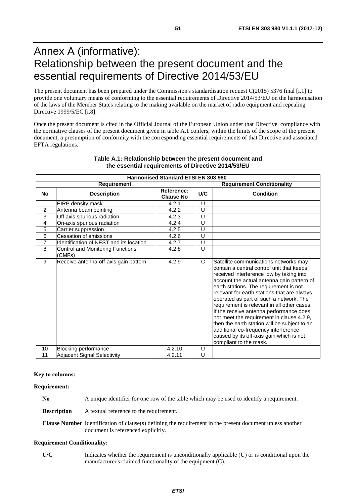# <span id="page-50-0"></span>Annex A (informative): Relationship between the present document and the essential requirements of Directive 2014/53/EU

The present document has been prepared under the Commission's standardisation request C(2015) 5376 final [\[i.1\]](#page-9-0) to provide one voluntary means of conforming to the essential requirements of Directive 2014/53/EU on the harmonisation of the laws of the Member States relating to the making available on the market of radio equipment and repealing Directive 1999/5/EC [\[i.8](#page-10-0)].

Once the present document is cited in the Official Journal of the European Union under that Directive, compliance with the normative clauses of the present document given in table A.1 confers, within the limits of the scope of the present document, a presumption of conformity with the corresponding essential requirements of that Directive and associated EFTA regulations.

| <b>Harmonised Standard ETSI EN 303 980</b> |                                            |                                   |              |                                                                                                                                                                                                                                                                                                                                                                                                                                                                                                                                                                                                                       |
|--------------------------------------------|--------------------------------------------|-----------------------------------|--------------|-----------------------------------------------------------------------------------------------------------------------------------------------------------------------------------------------------------------------------------------------------------------------------------------------------------------------------------------------------------------------------------------------------------------------------------------------------------------------------------------------------------------------------------------------------------------------------------------------------------------------|
| <b>Requirement</b>                         |                                            | <b>Requirement Conditionality</b> |              |                                                                                                                                                                                                                                                                                                                                                                                                                                                                                                                                                                                                                       |
| <b>No</b>                                  | <b>Description</b>                         | Reference:<br><b>Clause No</b>    | U/C          | <b>Condition</b>                                                                                                                                                                                                                                                                                                                                                                                                                                                                                                                                                                                                      |
| 1                                          | EIRP density mask                          | 4.2.1                             | U            |                                                                                                                                                                                                                                                                                                                                                                                                                                                                                                                                                                                                                       |
| 2                                          | Antenna beam pointing                      | 4.2.2                             | U            |                                                                                                                                                                                                                                                                                                                                                                                                                                                                                                                                                                                                                       |
| $\overline{3}$                             | Off axis spurious radiation                | 4.2.3                             | U            |                                                                                                                                                                                                                                                                                                                                                                                                                                                                                                                                                                                                                       |
| 4                                          | On-axis spurious radiation                 | 4.2.4                             | U            |                                                                                                                                                                                                                                                                                                                                                                                                                                                                                                                                                                                                                       |
| $\overline{5}$                             | Carrier suppression                        | 4.2.5                             | U            |                                                                                                                                                                                                                                                                                                                                                                                                                                                                                                                                                                                                                       |
| 6                                          | <b>Cessation of emissions</b>              | 4.2.6                             | U            |                                                                                                                                                                                                                                                                                                                                                                                                                                                                                                                                                                                                                       |
| $\overline{7}$                             | Identification of NEST and its location    | 4.2.7                             | U            |                                                                                                                                                                                                                                                                                                                                                                                                                                                                                                                                                                                                                       |
| 8                                          | Control and Monitoring Functions<br>(CMFs) | 4.2.8                             | U            |                                                                                                                                                                                                                                                                                                                                                                                                                                                                                                                                                                                                                       |
| 9                                          | Receive antenna off-axis gain pattern      | 4.2.9                             | $\mathsf{C}$ | Satellite communications networks may<br>contain a central control unit that keeps<br>received interference low by taking into<br>account the actual antenna gain pattern of<br>earth stations. The requirement is not<br>relevant for earth stations that are always<br>operated as part of such a network. The<br>requirement is relevant in all other cases.<br>If the receive antenna performance does<br>not meet the requirement in clause 4.2.9,<br>then the earth station will be subject to an<br>additional co-frequency interference<br>caused by its off-axis gain which is not<br>compliant to the mask. |
| 10                                         | <b>Blocking performance</b>                | 4.2.10                            | U            |                                                                                                                                                                                                                                                                                                                                                                                                                                                                                                                                                                                                                       |
| 11                                         | <b>Adjacent Signal Selectivity</b>         | 4.2.11                            | $\cup$       |                                                                                                                                                                                                                                                                                                                                                                                                                                                                                                                                                                                                                       |

#### **Table A.1: Relationship between the present document and the essential requirements of Directive 2014/53/EU**

#### **Key to columns:**

**Requirement:** 

**No** A unique identifier for one row of the table which may be used to identify a requirement.

**Description** A textual reference to the requirement.

**Clause Number** Identification of clause(s) defining the requirement in the present document unless another document is referenced explicitly.

#### **Requirement Conditionality:**

**U/C** Indicates whether the requirement is unconditionally applicable (U) or is conditional upon the manufacturer's claimed functionality of the equipment (C).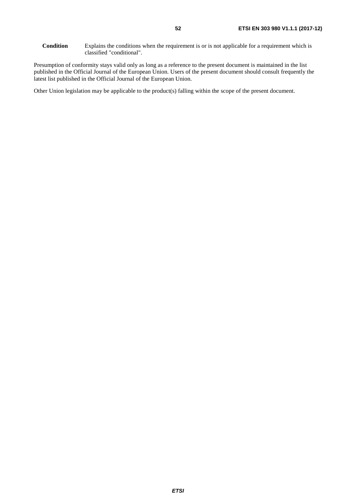Presumption of conformity stays valid only as long as a reference to the present document is maintained in the list published in the Official Journal of the European Union. Users of the present document should consult frequently the latest list published in the Official Journal of the European Union.

Other Union legislation may be applicable to the product(s) falling within the scope of the present document.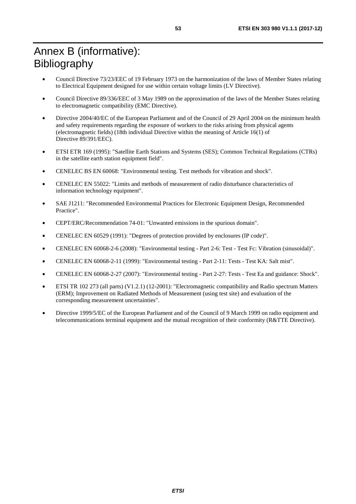# <span id="page-52-0"></span>Annex B (informative): Bibliography

- Council Directive 73/23/EEC of 19 February 1973 on the harmonization of the laws of Member States relating to Electrical Equipment designed for use within certain voltage limits (LV Directive).
- Council Directive 89/336/EEC of 3 May 1989 on the approximation of the laws of the Member States relating to electromagnetic compatibility (EMC Directive).
- Directive 2004/40/EC of the European Parliament and of the Council of 29 April 2004 on the minimum health and safety requirements regarding the exposure of workers to the risks arising from physical agents (electromagnetic fields) (18th individual Directive within the meaning of Article 16(1) of Directive 89/391/EEC).
- ETSI ETR 169 (1995): "Satellite Earth Stations and Systems (SES); Common Technical Regulations (CTRs) in the satellite earth station equipment field".
- CENELEC BS EN 60068: "Environmental testing. Test methods for vibration and shock".
- CENELEC EN 55022: "Limits and methods of measurement of radio disturbance characteristics of information technology equipment".
- SAE J1211: "Recommended Environmental Practices for Electronic Equipment Design, Recommended Practice".
- CEPT/ERC/Recommendation 74-01: "Unwanted emissions in the spurious domain".
- CENELEC EN 60529 (1991): "Degrees of protection provided by enclosures (IP code)".
- CENELEC EN 60068-2-6 (2008): "Environmental testing Part 2-6: Test Test Fc: Vibration (sinusoidal)".
- CENELEC EN 60068-2-11 (1999): "Environmental testing Part 2-11: Tests Test KA: Salt mist".
- CENELEC EN 60068-2-27 (2007): "Environmental testing Part 2-27: Tests Test Ea and guidance: Shock".
- ETSI TR 102 273 (all parts) (V1.2.1) (12-2001): "Electromagnetic compatibility and Radio spectrum Matters (ERM); Improvement on Radiated Methods of Measurement (using test site) and evaluation of the corresponding measurement uncertainties".
- Directive 1999/5/EC of the European Parliament and of the Council of 9 March 1999 on radio equipment and telecommunications terminal equipment and the mutual recognition of their conformity (R&TTE Directive).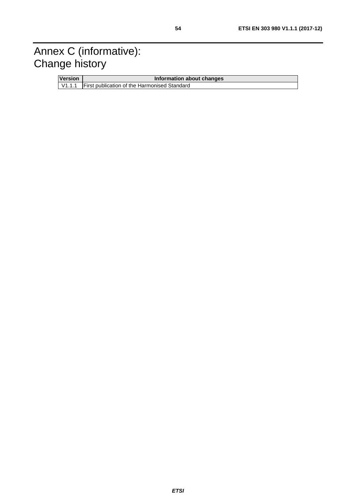# <span id="page-53-0"></span>Annex C (informative): Change history

| <b>Version</b> | Information about changes                           |  |  |  |
|----------------|-----------------------------------------------------|--|--|--|
|                | V1.1.1 First publication of the Harmonised Standard |  |  |  |